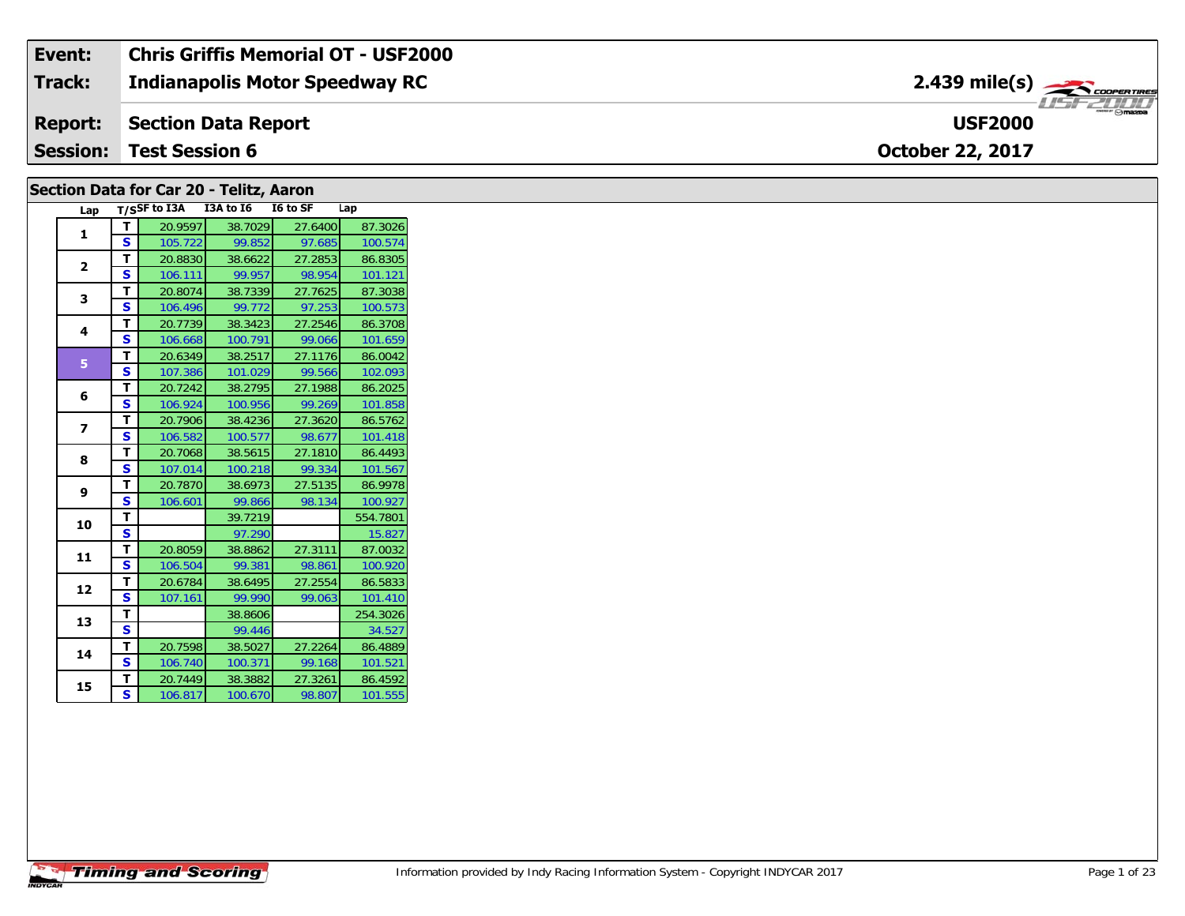| <b>Session:</b> | <b>Test Session 6</b>                 | <b>October 22, 2017</b>                                                        |
|-----------------|---------------------------------------|--------------------------------------------------------------------------------|
|                 | <b>Report:</b> Section Data Report    | $m_{\rm H} \odot m$ azpa<br><b>USF2000</b>                                     |
| <b>Track:</b>   | <b>Indianapolis Motor Speedway RC</b> | $2.439$ mile(s) $\overbrace{\hspace{2.5cm}}$ <i>coorentine</i><br><b>THEID</b> |
| Event:          | Chris Griffis Memorial OT - USF2000   |                                                                                |

### **Section Data for Car 20 - Telitz, Aaron**

| Lap            |   | $T/S$ SF to I3A | I3A to I6 | I6 to SF | Lap      |
|----------------|---|-----------------|-----------|----------|----------|
| 1              | т | 20.9597         | 38.7029   | 27.6400  | 87.3026  |
|                | S | 105.722         | 99.852    | 97.685   | 100.574  |
| $\overline{2}$ | т | 20.8830         | 38.6622   | 27.2853  | 86.8305  |
|                | S | 106.111         | 99.957    | 98.954   | 101.121  |
| 3              | т | 20.8074         | 38.7339   | 27.7625  | 87.3038  |
|                | S | 106.496         | 99.772    | 97.253   | 100.573  |
| 4              | T | 20.7739         | 38.3423   | 27.2546  | 86.3708  |
|                | S | 106.668         | 100.791   | 99.066   | 101.659  |
| 5              | T | 20.6349         | 38.2517   | 27.1176  | 86.0042  |
|                | S | 107.386         | 101.029   | 99.566   | 102.093  |
| 6              | T | 20.7242         | 38.2795   | 27.1988  | 86.2025  |
|                | S | 106.924         | 100.956   | 99.269   | 101.858  |
| 7              | т | 20.7906         | 38.4236   | 27.3620  | 86.5762  |
|                | S | 106.582         | 100.577   | 98.677   | 101.418  |
| 8              | т | 20.7068         | 38.5615   | 27.1810  | 86.4493  |
|                | S | 107.014         | 100.218   | 99.334   | 101.567  |
| 9              | т | 20.7870         | 38.6973   | 27.5135  | 86.9978  |
|                | S | 106.601         | 99.866    | 98.134   | 100.927  |
| 10             | т |                 | 39.7219   |          | 554.7801 |
|                | S |                 | 97.290    |          | 15.827   |
| 11             | т | 20.8059         | 38.8862   | 27.3111  | 87.0032  |
|                | S | 106.504         | 99.381    | 98.861   | 100.920  |
| 12             | T | 20.6784         | 38.6495   | 27.2554  | 86.5833  |
|                | S | 107.161         | 99.990    | 99.063   | 101.410  |
| 13             | т |                 | 38.8606   |          | 254.3026 |
|                | S |                 | 99.446    |          | 34.527   |
| 14             | т | 20.7598         | 38.5027   | 27.2264  | 86.4889  |
|                | S | 106.740         | 100.371   | 99.168   | 101.521  |
| 15             | T | 20.7449         | 38.3882   | 27.3261  | 86.4592  |
|                | S | 106.817         | 100.670   | 98.807   | 101.555  |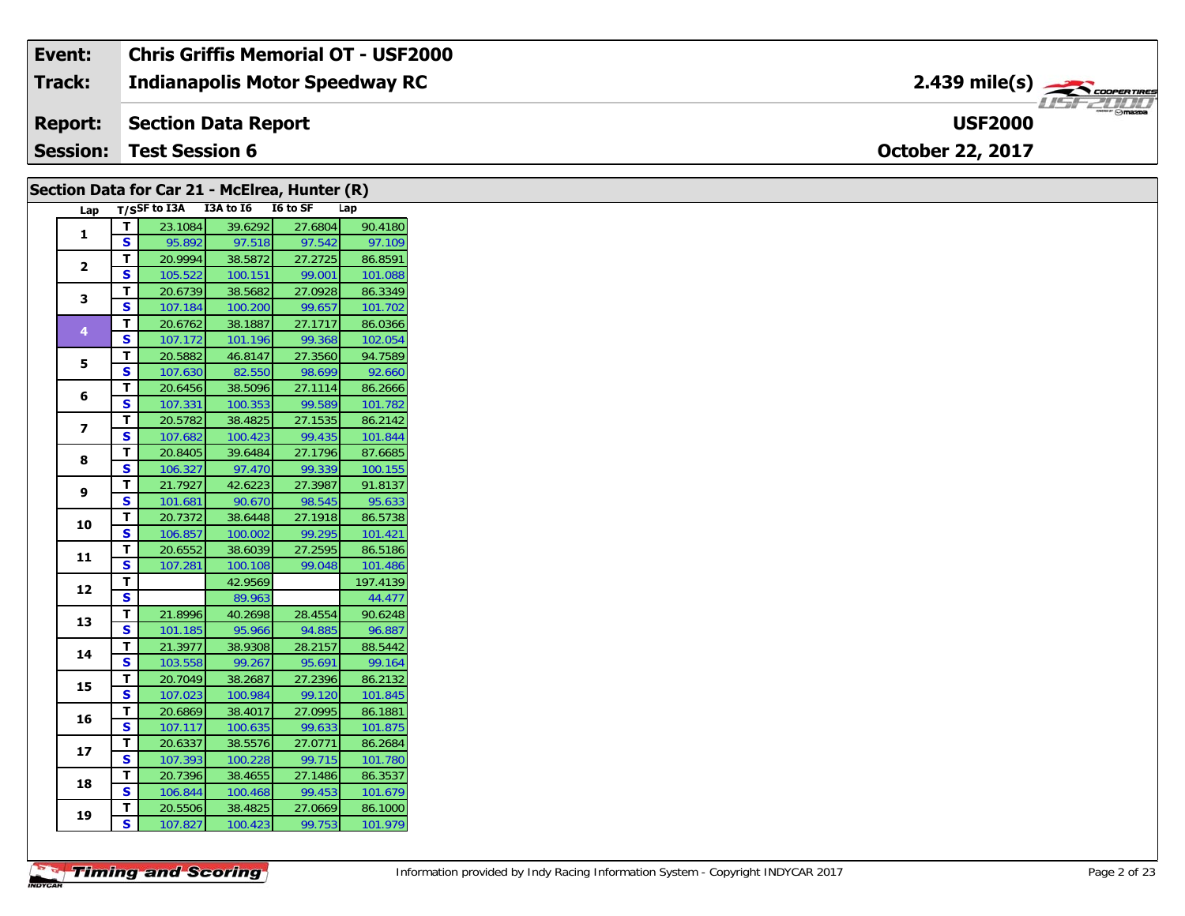| Event:          | Chris Griffis Memorial OT - USF2000   |                                           |
|-----------------|---------------------------------------|-------------------------------------------|
| <b>Track:</b>   | <b>Indianapolis Motor Speedway RC</b> | $2.439$ mile(s) $\rightarrow$ COOPERTIRES |
|                 | <b>Report:</b> Section Data Report    | <b>USF2000</b>                            |
| <b>Session:</b> | <b>Test Session 6</b>                 | <b>October 22, 2017</b>                   |

|                 |                         | Section Data for Car 21 - McEirea, Hunter (R) |                    |                   |                    |
|-----------------|-------------------------|-----------------------------------------------|--------------------|-------------------|--------------------|
| Lap             |                         | T/SSF to I3A I3A to I6                        |                    | I6 to SF          | Lap                |
| $\mathbf{1}$    | T                       | 23.1084                                       | 39.6292            | 27.6804           | 90.4180            |
|                 | $\mathbf{s}$            | 95.892                                        | 97.518             | 97.542            | 97.109             |
| $\overline{2}$  | T.                      | 20.9994                                       | 38.5872            | 27.2725           | 86.8591            |
|                 | S                       | 105.522                                       | 100.151            | 99.001            | 101.088            |
| 3               | T                       | 20.6739                                       | 38.5682            | 27.0928           | 86.3349            |
|                 | S                       | 107.184                                       | 100.200            | 99.657            | 101.702            |
| 4               | T                       | 20.6762                                       | 38.1887            | 27.1717           | 86.0366            |
|                 | S                       | 107.172                                       | 101.196            | 99.368            | 102.054            |
| 5               | T.                      | 20.5882                                       | 46.8147            | 27.3560           | 94.7589            |
|                 | S                       | 107.630                                       | 82.550             | 98.699            | 92.660             |
| 6               | T                       | 20.6456                                       | 38.5096            | 27.1114           | 86.2666            |
|                 | S                       | 107.331                                       | 100.353            | 99.589            | 101.782            |
| $\overline{ }$  | T                       | 20.5782                                       | 38.4825            | 27.1535           | 86.2142            |
|                 | S                       | 107.682                                       | 100.423            | 99.435            | 101.844            |
| 8               | T                       | 20.8405                                       | 39.6484            | 27.1796           | 87.6685            |
|                 | S                       | 106.327                                       | 97.470             | 99.339            | 100.155            |
| 9               | T.                      | 21.7927                                       | 42.6223            | 27.3987           | 91.8137            |
|                 | S                       | 101.681                                       | 90.670             | 98.545            | 95.633             |
| 10              | T                       | 20.7372                                       | 38.6448            | 27.1918           | 86.5738            |
|                 | S                       | 106.857                                       | 100.002            | 99.295            | 101.421            |
| 11              | T.                      | 20.6552                                       | 38.6039            | 27.2595           | 86.5186            |
|                 | S                       | 107.281                                       | 100.108            | 99.048            | 101.486            |
| 12              | т                       |                                               | 42.9569            |                   | 197.4139           |
|                 | $\overline{\mathbf{s}}$ |                                               | 89.963             |                   | 44.477             |
| 13              | Т.                      | 21.8996                                       | 40.2698            | 28.4554           | 90.6248            |
|                 | S                       | 101.185                                       | 95.966             | 94.885            | 96.887             |
| 14              | T.                      | 21.3977                                       | 38.9308            | 28.2157           | 88.5442            |
|                 | S                       | 103.558                                       | 99.267             | 95.691            | 99.164             |
| 15              | T                       | 20.7049                                       | 38.2687            | 27.2396           | 86.2132            |
|                 | S                       | 107.023                                       | 100.984            | 99.120            | 101.845            |
| 16              | T                       | 20.6869                                       | 38.4017            | 27.0995           | 86.1881            |
|                 | S                       | 107.117                                       | 100.635            | 99.633            | 101.875            |
| 17 <sup>2</sup> | T                       | 20.6337                                       | 38.5576            | 27.0771           | 86.2684            |
|                 | S                       | 107.393                                       | 100.228            | 99.715            | 101.780<br>86.3537 |
| 18              | T.<br>S                 | 20.7396<br>106.844                            | 38.4655<br>100.468 | 27.1486<br>99.453 | 101.679            |
|                 | T.                      | 20.5506                                       | 38.4825            | 27.0669           | 86.1000            |
| 19              | S.                      |                                               |                    |                   | 101.979            |
|                 |                         | 107.827                                       | 100.423            | 99.753            |                    |

 $\overline{a}$ 

 $\sim$ 

 $\overline{a}$   $\overline{a}$   $\overline{a}$   $\overline{a}$   $\overline{a}$   $\overline{a}$   $\overline{a}$   $\overline{a}$   $\overline{a}$   $\overline{a}$   $\overline{a}$   $\overline{a}$   $\overline{a}$   $\overline{a}$   $\overline{a}$   $\overline{a}$   $\overline{a}$   $\overline{a}$   $\overline{a}$   $\overline{a}$   $\overline{a}$   $\overline{a}$   $\overline{a}$   $\overline{a}$   $\overline{$ 

 $\mathbf{r}$  ,  $\mathbf{r}$ 

 $\sqrt{2}$ 

 $\sim$ 

 $\sim$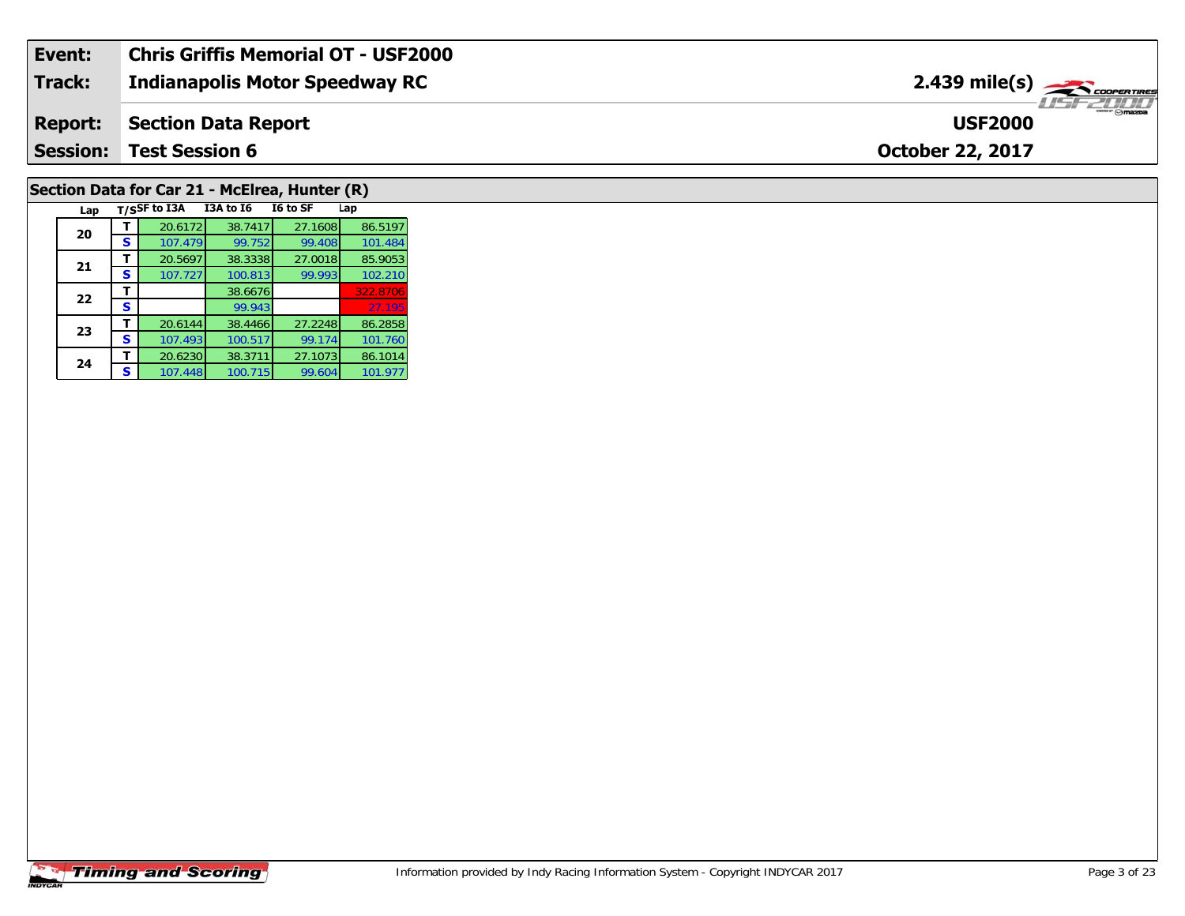| Event:          | <b>Chris Griffis Memorial OT - USF2000</b> |                                           |
|-----------------|--------------------------------------------|-------------------------------------------|
| Track:          | <b>Indianapolis Motor Speedway RC</b>      | $2.439$ mile(s) $\rightarrow$ coorganises |
| <b>Report:</b>  | <b>Section Data Report</b>                 | <b>USF2000</b>                            |
| <b>Session:</b> | <b>Test Session 6</b>                      | <b>October 22, 2017</b>                   |
|                 |                                            |                                           |

# **Section Data for Car 21 - McElrea, Hunter (R)**

|  | Lap |   | T/SSF to I3A | <b>I3A to 16</b> | I6 to SF | Lap      |
|--|-----|---|--------------|------------------|----------|----------|
|  | 20  |   | 20.6172      | 38.7417          | 27.1608  | 86.5197  |
|  |     | s | 107.479      | 99.752           | 99.408   | 101.484  |
|  |     |   | 20.5697      | 38.3338          | 27.0018  | 85.9053  |
|  | 21  | S | 107.727      | 100.813          | 99.993   | 102.210  |
|  | 22  |   |              | 38.6676          |          | 322.8706 |
|  |     | S |              | 99.943           |          | 27.195   |
|  | 23  |   | 20.6144      | 38.4466          | 27.2248  | 86.2858  |
|  |     | s | 107.493      | 100.517          | 99.174   | 101.760  |
|  | 24  |   | 20.6230      | 38.3711          | 27.1073  | 86.1014  |
|  |     | S | 107.448      | 100.715          | 99.604   | 101.977  |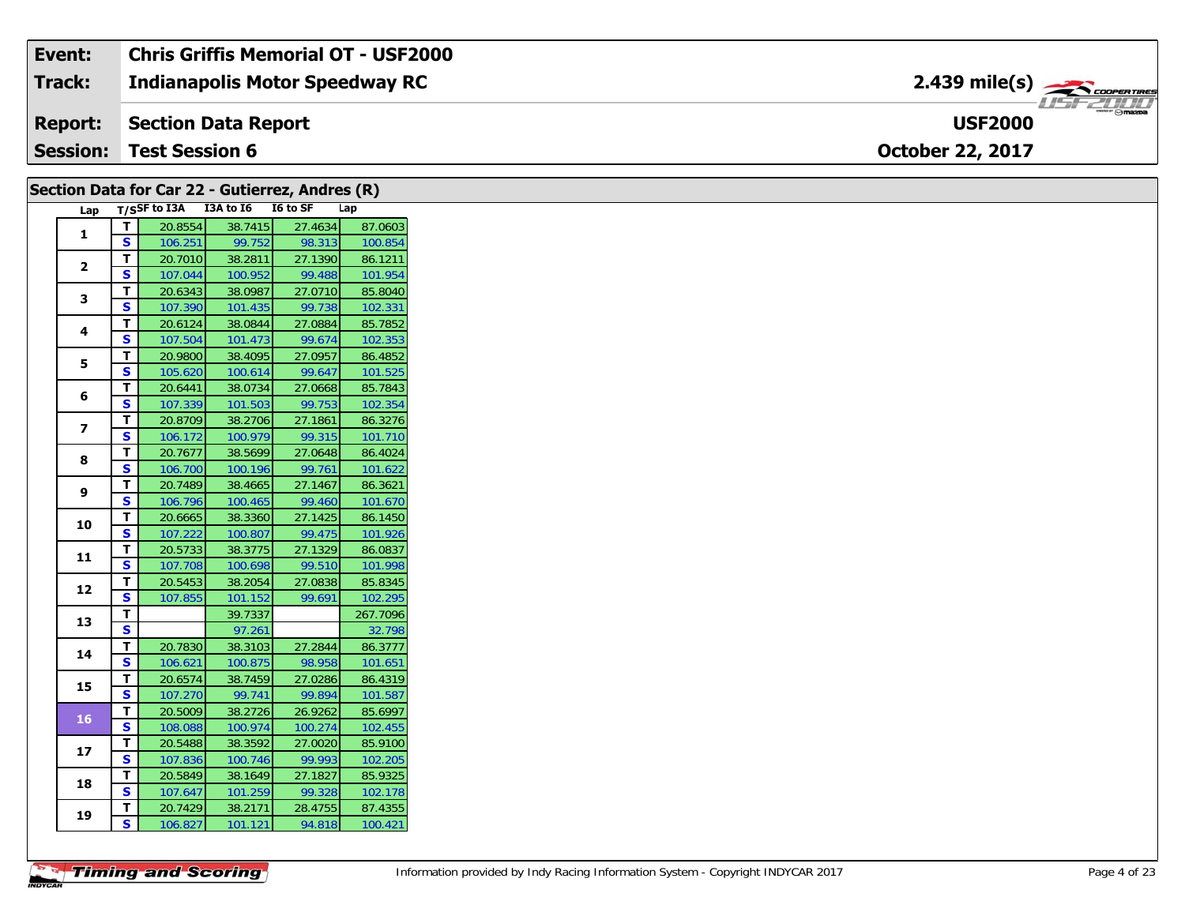| Event:          | <b>Chris Griffis Memorial OT - USF2000</b> |                                      |
|-----------------|--------------------------------------------|--------------------------------------|
| <b>Track:</b>   | <b>Indianapolis Motor Speedway RC</b>      | $2.439$ mile(s) $\rightarrow$        |
| <b>Report:</b>  | Section Data Report                        | $\mathbb{R}$ mazon<br><b>USF2000</b> |
| <b>Session:</b> | <b>Test Session 6</b>                      | <b>October 22, 2017</b>              |

|                         |                         | Section Data for Car 22 - Gutierrez, Andres (R) |         |         |          |
|-------------------------|-------------------------|-------------------------------------------------|---------|---------|----------|
| Lap                     |                         | T/SSF to I3A I3A to I6 I6 to SF                 |         |         | Lap      |
| 1                       | $\mathbf{T}$            | 20.8554                                         | 38.7415 | 27.4634 | 87.0603  |
|                         | $\overline{\mathbf{s}}$ | 106.251                                         | 99.752  | 98.313  | 100.854  |
| $\mathbf{2}$            | T                       | 20.7010                                         | 38.2811 | 27.1390 | 86.1211  |
|                         | <b>S</b>                | 107.044                                         | 100.952 | 99.488  | 101.954  |
| 3                       | T                       | 20.6343                                         | 38.0987 | 27.0710 | 85.8040  |
|                         | $\mathbf{s}$            | 107.390                                         | 101.435 | 99.738  | 102.331  |
| 4                       | $\mathbf{T}$            | 20.6124                                         | 38.0844 | 27.0884 | 85.7852  |
|                         | <b>S</b>                | 107.504                                         | 101.473 | 99.674  | 102.353  |
| 5                       | $\mathbf T$             | 20.9800                                         | 38.4095 | 27.0957 | 86.4852  |
|                         | $\mathbf{s}$            | 105.620                                         | 100.614 | 99.647  | 101.525  |
| 6                       | T                       | 20.6441                                         | 38.0734 | 27.0668 | 85.7843  |
|                         | S                       | 107.339                                         | 101.503 | 99.753  | 102.354  |
| $\overline{\mathbf{z}}$ | $\mathbf T$             | 20.8709                                         | 38.2706 | 27.1861 | 86.3276  |
|                         | <b>S</b>                | 106.172                                         | 100.979 | 99.315  | 101.710  |
| 8                       | T                       | 20.7677                                         | 38.5699 | 27.0648 | 86.4024  |
|                         | $\mathbf{s}$            | 106.700                                         | 100.196 | 99.761  | 101.622  |
| 9                       | $\mathbf{T}$            | 20.7489                                         | 38.4665 | 27.1467 | 86.3621  |
|                         | <b>S</b>                | 106.796                                         | 100.465 | 99.460  | 101.670  |
| 10                      | T                       | 20.6665                                         | 38.3360 | 27.1425 | 86.1450  |
|                         | <b>S</b>                | 107.222                                         | 100.807 | 99.475  | 101.926  |
| 11                      | T                       | 20.5733                                         | 38.3775 | 27.1329 | 86.0837  |
|                         | <b>S</b>                | 107.708                                         | 100.698 | 99.510  | 101.998  |
| 12                      | $\mathbf{T}$            | 20.5453                                         | 38.2054 | 27.0838 | 85.8345  |
|                         | $\mathbf{s}$            | 107.855                                         | 101.152 | 99.691  | 102.295  |
| 13                      | T                       |                                                 | 39.7337 |         | 267.7096 |
|                         | $\overline{\mathbf{s}}$ |                                                 | 97.261  |         | 32.798   |
| 14                      | $\overline{t}$          | 20.7830                                         | 38.3103 | 27.2844 | 86.3777  |
|                         | <b>S</b>                | 106.621                                         | 100.875 | 98.958  | 101.651  |
| 15                      | T                       | 20.6574                                         | 38.7459 | 27.0286 | 86.4319  |
|                         | $\mathbf{s}$            | 107.270                                         | 99.741  | 99.894  | 101.587  |
| 16                      | T                       | 20.5009                                         | 38.2726 | 26.9262 | 85.6997  |
|                         | S                       | 108.088                                         | 100.974 | 100.274 | 102.455  |
| 17                      | $\mathbf{T}$            | 20.5488                                         | 38.3592 | 27.0020 | 85.9100  |
|                         | S                       | 107.836                                         | 100.746 | 99.993  | 102.205  |
| 18                      | T.                      | 20.5849                                         | 38.1649 | 27.1827 | 85.9325  |
|                         | <b>S</b>                | 107.647                                         | 101.259 | 99.328  | 102.178  |
| 19                      | T                       | 20.7429                                         | 38.2171 | 28.4755 | 87.4355  |
|                         | S                       | 106.827                                         | 101.121 | 94.818  | 100.421  |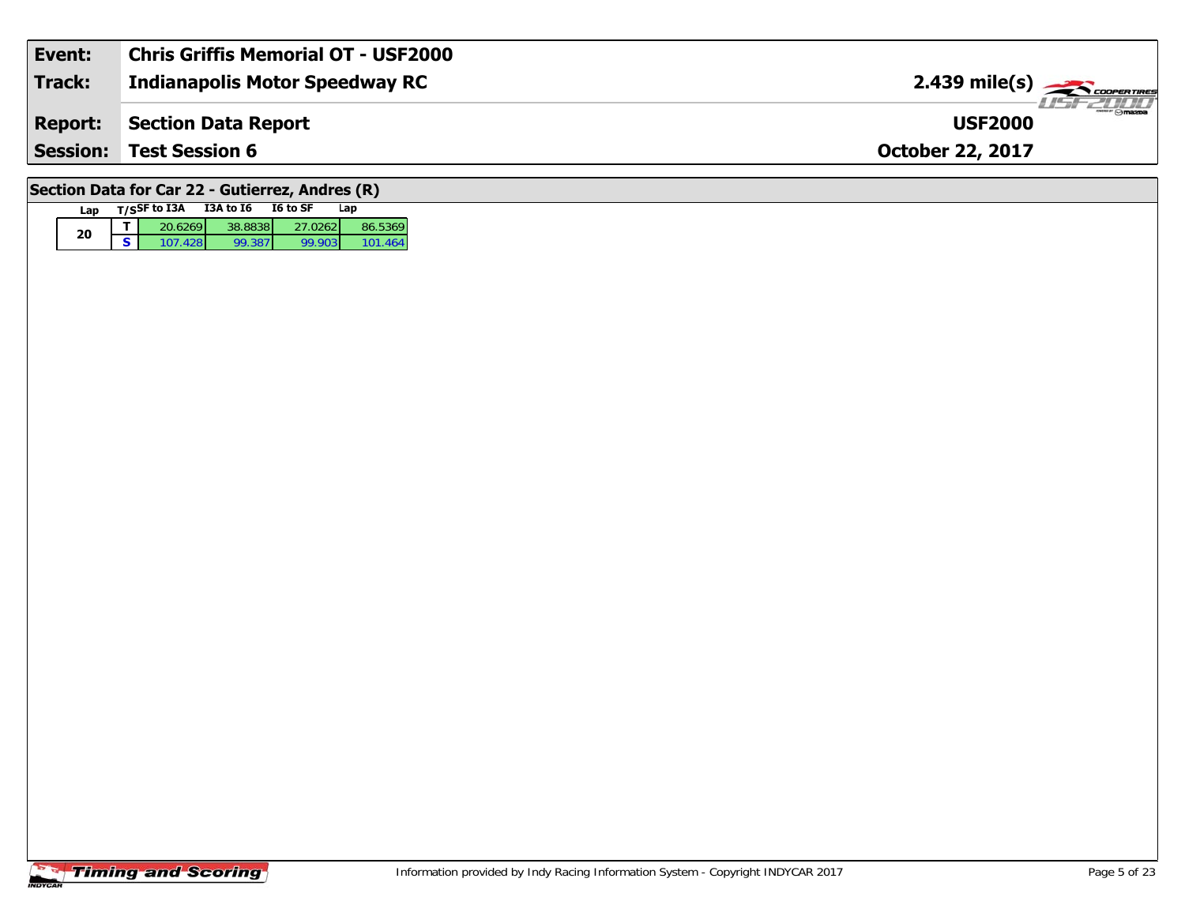| Event:                                          | <b>Chris Griffis Memorial OT - USF2000</b>       |                                         |  |  |  |  |  |  |  |
|-------------------------------------------------|--------------------------------------------------|-----------------------------------------|--|--|--|--|--|--|--|
| <b>Track:</b>                                   | <b>Indianapolis Motor Speedway RC</b>            | $2.439$ mile(s) $\leftarrow$ coorganger |  |  |  |  |  |  |  |
| <b>Report:</b>                                  | <b>Section Data Report</b>                       | LISF 2000<br><b>USF2000</b>             |  |  |  |  |  |  |  |
| <b>Session:</b>                                 | <b>Test Session 6</b><br><b>October 22, 2017</b> |                                         |  |  |  |  |  |  |  |
| Section Data for Car 22 - Gutierrez, Andres (R) |                                                  |                                         |  |  |  |  |  |  |  |

### **Timing and Scoring**

**Lap T/SSF to I3A I3A to I6 I6 to SF Lap** 

**d T** 20.6269 38.8838 27.0262 86.5369<br>**S** 107.428 99.387 99.903 101.464

101.464

**20**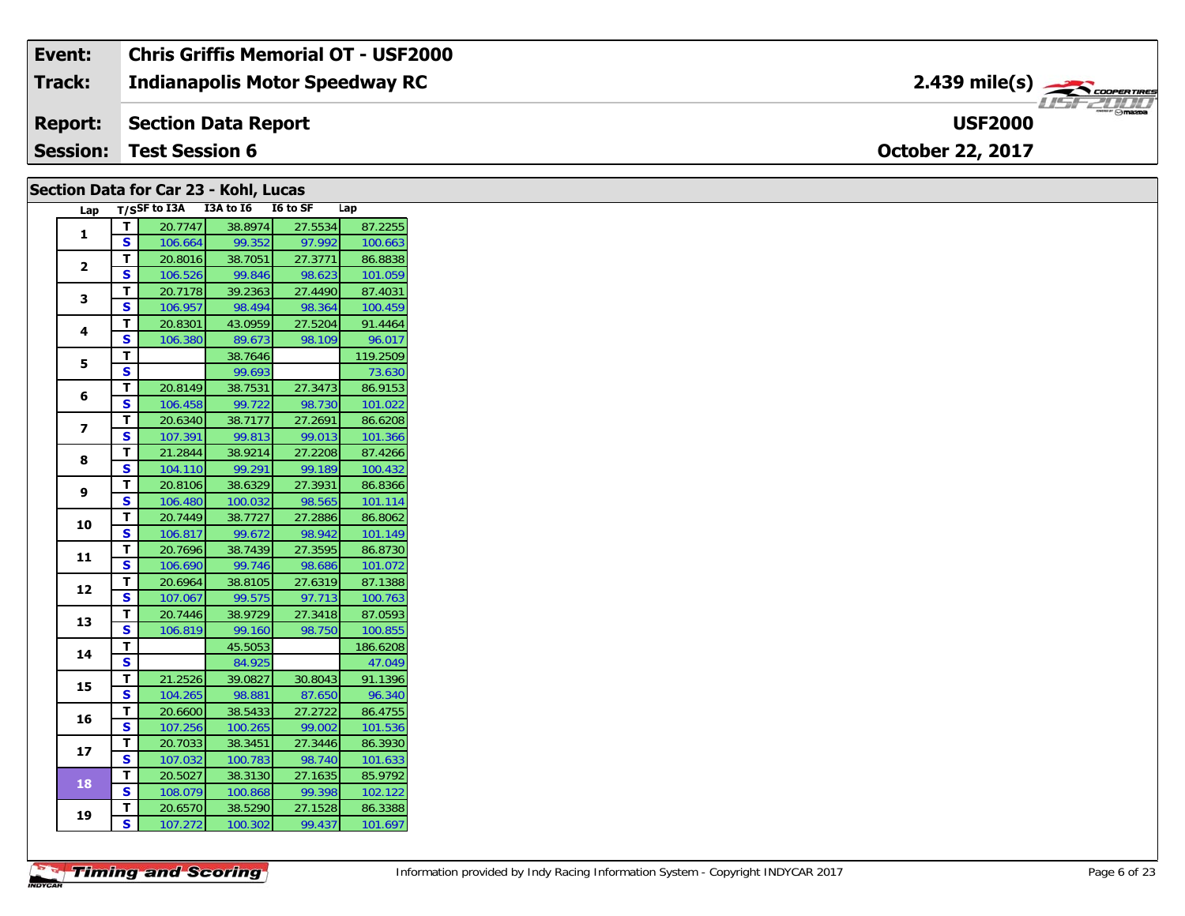| Event:          | Chris Griffis Memorial OT - USF2000   |                                                  |
|-----------------|---------------------------------------|--------------------------------------------------|
| <b>Track:</b>   | <b>Indianapolis Motor Speedway RC</b> | $2.439$ mile(s) $\rightarrow$ coorewines         |
|                 | <b>Report:</b> Section Data Report    | $m_{\text{max}}$ $\odot$ mazpa<br><b>USF2000</b> |
| <b>Session:</b> | <b>Test Session 6</b>                 | <b>October 22, 2017</b>                          |

### **Section Data for Car 23 - Kohl, Lucas**

| Lap            |                         | T/SSF to I3A | I3A to I6 | I6 to SF | Lap      |
|----------------|-------------------------|--------------|-----------|----------|----------|
| 1              | T                       | 20.7747      | 38.8974   | 27.5534  | 87.2255  |
|                | S                       | 106.664      | 99.352    | 97.992   | 100.663  |
| $\overline{2}$ | т                       | 20.8016      | 38.7051   | 27.3771  | 86.8838  |
|                | S                       | 106.526      | 99.846    | 98.623   | 101.059  |
| 3              | Т                       | 20.7178      | 39.2363   | 27.4490  | 87.4031  |
|                | S                       | 106.957      | 98.494    | 98.364   | 100.459  |
| 4              | т                       | 20.8301      | 43.0959   | 27.5204  | 91.4464  |
|                | S                       | 106.380      | 89.673    | 98.109   | 96.017   |
| 5              | т                       |              | 38.7646   |          | 119.2509 |
|                | S                       |              | 99.693    |          | 73.630   |
|                | т                       | 20.8149      | 38.7531   | 27.3473  | 86.9153  |
| 6              | S                       | 106.458      | 99.722    | 98.730   | 101.022  |
| 7              | T                       | 20.6340      | 38.7177   | 27.2691  | 86.6208  |
|                | S                       | 107.391      | 99.813    | 99.013   | 101.366  |
| 8              | T                       | 21.2844      | 38.9214   | 27.2208  | 87.4266  |
|                | $\overline{\mathbf{s}}$ | 104.110      | 99.291    | 99.189   | 100.432  |
| 9              | т                       | 20.8106      | 38.6329   | 27.3931  | 86.8366  |
|                | S                       | 106.480      | 100.032   | 98.565   | 101.114  |
| 10             | т                       | 20.7449      | 38.7727   | 27.2886  | 86.8062  |
|                | S                       | 106.817      | 99.672    | 98.942   | 101.149  |
| 11             | т                       | 20.7696      | 38.7439   | 27.3595  | 86.8730  |
|                | $\overline{\mathbf{s}}$ | 106.690      | 99.746    | 98.686   | 101.072  |
|                | T                       | 20.6964      | 38.8105   | 27.6319  | 87.1388  |
| 12             | S                       | 107.067      | 99.575    | 97.713   | 100.763  |
| 13             | T                       | 20.7446      | 38.9729   | 27.3418  | 87.0593  |
|                | S                       | 106.819      | 99.160    | 98.750   | 100.855  |
| 14             | T                       |              | 45.5053   |          | 186.6208 |
|                | S                       |              | 84.925    |          | 47.049   |
| 15             | T                       | 21.2526      | 39.0827   | 30.8043  | 91.1396  |
|                | S                       | 104.265      | 98.881    | 87.650   | 96.340   |
| 16             | T                       | 20.6600      | 38.5433   | 27.2722  | 86.4755  |
|                | S                       | 107.256      | 100.265   | 99.002   | 101.536  |
| 17             | T                       | 20.7033      | 38.3451   | 27.3446  | 86.3930  |
|                | S                       | 107.032      | 100.783   | 98.740   | 101.633  |
| 18             | Т                       | 20.5027      | 38.3130   | 27.1635  | 85.9792  |
|                | S                       | 108.079      | 100.868   | 99.398   | 102.122  |
| 19             | т                       | 20.6570      | 38.5290   | 27.1528  | 86.3388  |
|                | S                       | 107.272      | 100.302   | 99.437   | 101.697  |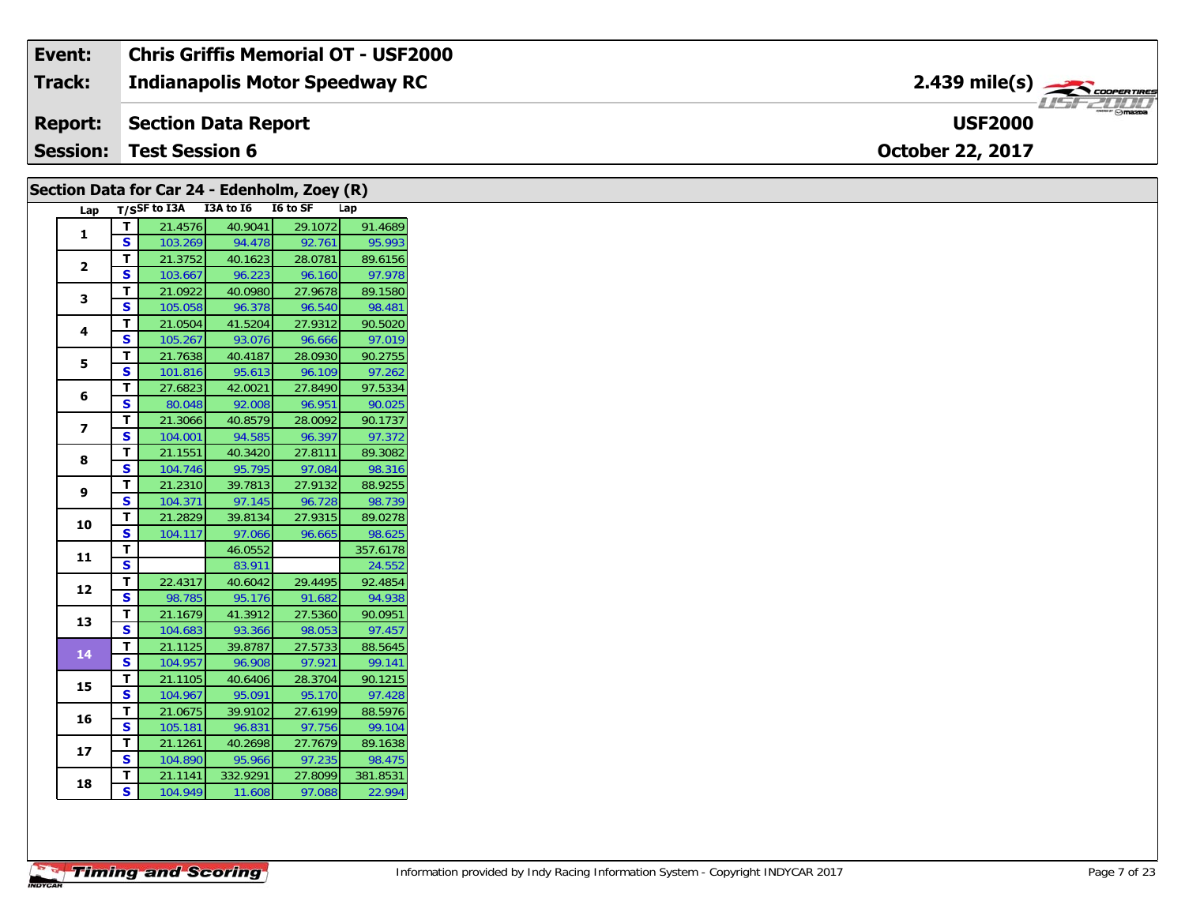| Event:          | Chris Griffis Memorial OT - USF2000   |                               |
|-----------------|---------------------------------------|-------------------------------|
| <b>Track:</b>   | <b>Indianapolis Motor Speedway RC</b> | $2.439$ mile(s) $\rightarrow$ |
| <b>Report:</b>  | Section Data Report                   | <b>USF2000</b>                |
| <b>Session:</b> | <b>Test Session 6</b>                 | <b>October 22, 2017</b>       |

|                |              | Section Data for Car 24 - Edenholm, Zoey (R) |          |         |          |
|----------------|--------------|----------------------------------------------|----------|---------|----------|
|                |              | Lap T/SSF to I3A I3A to I6 I6 to SF          |          |         | Lap      |
| $\mathbf{1}$   | T            | 21.4576                                      | 40.9041  | 29.1072 | 91.4689  |
|                | <b>S</b>     | 103.269                                      | 94.478   | 92.761  | 95.993   |
| $\mathbf{2}$   | T.           | 21.3752                                      | 40.1623  | 28.0781 | 89.6156  |
|                | S            | 103.667                                      | 96.223   | 96.160  | 97.978   |
| 3              | т            | 21.0922                                      | 40.0980  | 27.9678 | 89.1580  |
|                | <b>S</b>     | 105.058                                      | 96.378   | 96.540  | 98.481   |
| 4              | T            | 21.0504                                      | 41.5204  | 27.9312 | 90.5020  |
|                | S            | 105.267                                      | 93.076   | 96.666  | 97.019   |
| 5              | T.           | 21.7638                                      | 40.4187  | 28.0930 | 90.2755  |
|                | S            | 101.816                                      | 95.613   | 96.109  | 97.262   |
|                | т            | 27.6823                                      | 42.0021  | 27.8490 | 97.5334  |
| 6              | S            | 80.048                                       | 92.008   | 96.951  | 90.025   |
|                | T            | 21.3066                                      | 40.8579  | 28.0092 | 90.1737  |
| $\overline{ }$ | <b>S</b>     | 104.001                                      | 94.585   | 96.397  | 97.372   |
|                | $\mathbf{T}$ | 21.1551                                      | 40.3420  | 27.8111 | 89.3082  |
| 8              | S            | 104.746                                      | 95.795   | 97.084  | 98.316   |
|                | T            | 21.2310                                      | 39.7813  | 27.9132 | 88.9255  |
| 9              | S            | 104.371                                      | 97.145   | 96.728  | 98.739   |
|                | T            | 21.2829                                      | 39.8134  | 27.9315 | 89.0278  |
| 10             | <b>S</b>     | 104.117                                      | 97.066   | 96.665  | 98.625   |
|                | Т            |                                              | 46.0552  |         | 357.6178 |
| 11             | S            |                                              | 83.911   |         | 24.552   |
|                | T.           | 22.4317                                      | 40.6042  | 29.4495 | 92.4854  |
| 12             | <b>S</b>     | 98.785                                       | 95.176   | 91.682  | 94.938   |
|                | T            | 21.1679                                      | 41.3912  | 27.5360 | 90.0951  |
| 13             | S            | 104.683                                      | 93.366   | 98.053  | 97.457   |
|                | T.           | 21.1125                                      | 39.8787  | 27.5733 | 88.5645  |
| 14             | S            | 104.957                                      | 96.908   | 97.921  | 99.141   |
|                | T            | 21.1105                                      | 40.6406  | 28.3704 | 90.1215  |
| 15             | <b>S</b>     | 104.967                                      | 95.091   | 95.170  | 97.428   |
|                | Т            | 21.0675                                      | 39.9102  | 27.6199 | 88.5976  |
| 16             | S            | 105.181                                      | 96.831   | 97.756  | 99.104   |
|                | T            | 21.1261                                      | 40.2698  | 27.7679 | 89.1638  |
| 17             | S            | 104.890                                      | 95.966   | 97.235  | 98.475   |
|                | т            | 21.1141                                      | 332.9291 | 27.8099 | 381.8531 |
| 18             | <b>S</b>     | 104.949                                      | 11.608   | 97.088  | 22.994   |
|                |              |                                              |          |         |          |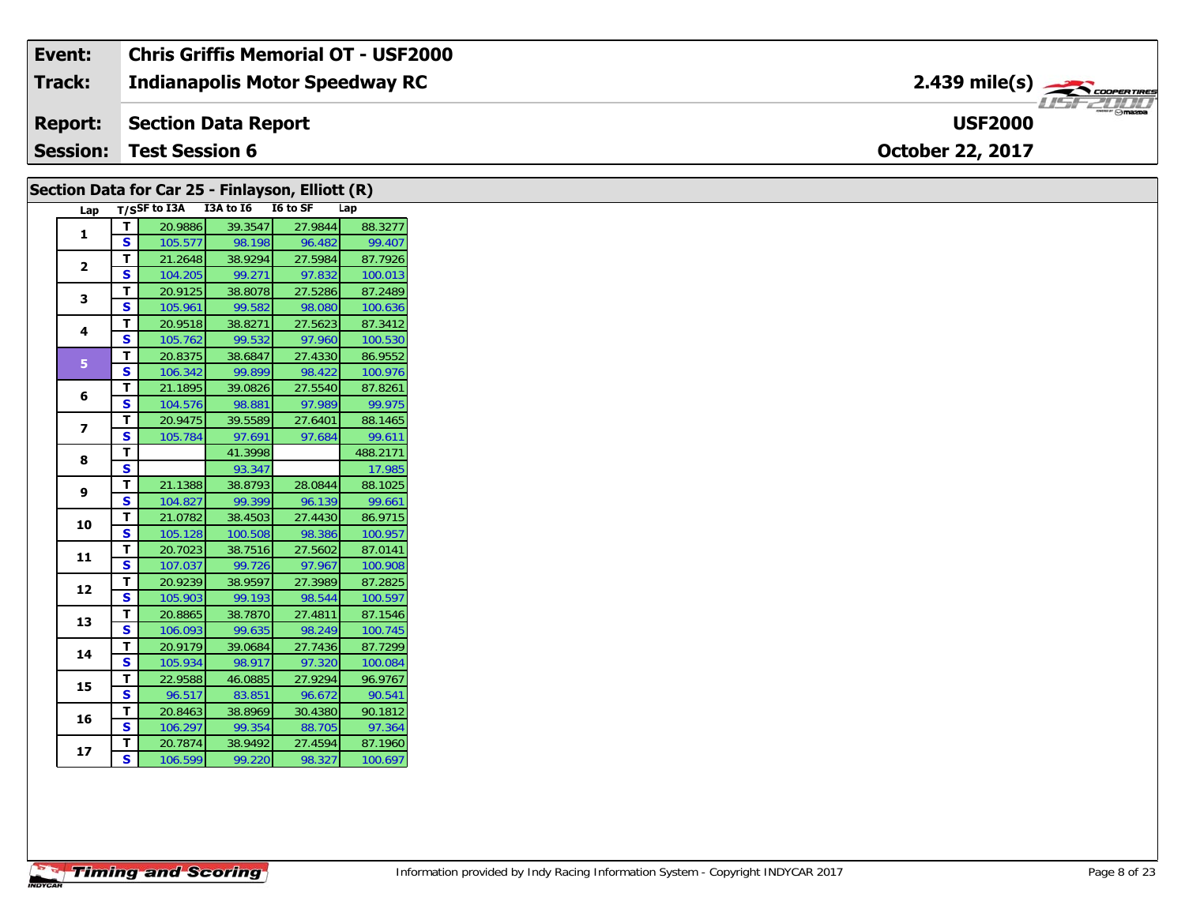| Event:          | <b>Chris Griffis Memorial OT - USF2000</b> |                                                              |  |
|-----------------|--------------------------------------------|--------------------------------------------------------------|--|
| Track:          | <b>Indianapolis Motor Speedway RC</b>      | $2.439$ mile(s) $\overbrace{\hspace{2.5cm}}^{3}$ coorentines |  |
| <b>Report:</b>  | Section Data Report                        | <b>USF2000</b>                                               |  |
| <b>Session:</b> | <b>Test Session 6</b>                      | <b>October 22, 2017</b>                                      |  |

| Section Data for Car 25 - Finlayson, Elliott (R) |              |                                     |                   |         |                   |
|--------------------------------------------------|--------------|-------------------------------------|-------------------|---------|-------------------|
|                                                  |              | Lap T/SSF to I3A I3A to I6 I6 to SF |                   |         | Lap               |
| $\mathbf{1}$                                     | T.           | 20.9886                             | 39.3547           | 27.9844 | 88.3277           |
|                                                  | $\mathbf{s}$ | 105.577                             | 98.198            | 96.482  | 99.407            |
| $\overline{2}$                                   | T            | 21.2648                             | 38.9294           | 27.5984 | 87.7926           |
|                                                  | $\mathbf{s}$ | 104.205                             | 99.271            | 97.832  | 100.013           |
| 3                                                | T            | 20.9125                             | 38.8078           | 27.5286 | 87.2489           |
|                                                  | S            | 105.961                             | 99.582            | 98.080  | 100.636           |
| 4                                                | T            | 20.9518                             | 38.8271           | 27.5623 | 87.3412           |
|                                                  | S.           | 105.762                             | 99.532            | 97.960  | 100.530           |
| 5 <sup>1</sup>                                   | T            | 20.8375                             | 38.6847           | 27.4330 | 86.9552           |
|                                                  | $\mathbf{s}$ | 106.342                             | 99.899            | 98.422  | 100.976           |
| 6                                                | T            | 21.1895                             | 39.0826           | 27.5540 | 87.8261           |
|                                                  | S            | 104.576                             | 98.881            | 97.989  | 99.975            |
| $\overline{ }$                                   | T.           | 20.9475                             | 39.5589           | 27.6401 | 88.1465           |
|                                                  | <b>S</b>     | 105.784                             | 97.691            | 97.684  | 99.611            |
| 8                                                | T            |                                     | 41.3998           |         | 488.2171          |
|                                                  | S<br>T       | 21.1388                             | 93.347            | 28.0844 | 17.985            |
| 9                                                | $\mathbf{s}$ | 104.827                             | 38.8793<br>99.399 | 96.139  | 88.1025<br>99.661 |
|                                                  | T            | 21.0782                             | 38.4503           | 27.4430 | 86.9715           |
| 10                                               | <b>S</b>     | 105.128                             | 100.508           | 98.386  | 100.957           |
|                                                  | T            | 20.7023                             | 38.7516           | 27.5602 | 87.0141           |
| 11                                               | S            | 107.037                             | 99.726            | 97.967  | 100.908           |
|                                                  | T.           | 20.9239                             | 38.9597           | 27.3989 | 87.2825           |
| 12                                               | <b>S</b>     | 105.903                             | 99.193            | 98.544  | 100.597           |
|                                                  | T.           | 20.8865                             | 38.7870           | 27.4811 | 87.1546           |
| 13                                               | S            | 106.093                             | 99.635            | 98.249  | 100.745           |
|                                                  | T.           | 20.9179                             | 39.0684           | 27.7436 | 87.7299           |
| 14                                               | S            | 105.934                             | 98.917            | 97.320  | 100.084           |
| 15                                               | T.           | 22.9588                             | 46.0885           | 27.9294 | 96.9767           |
|                                                  | S.           | 96.517                              | 83.851            | 96.672  | 90.541            |
| 16                                               | T.           | 20.8463                             | 38.8969           | 30.4380 | 90.1812           |
|                                                  | S            | 106.297                             | 99.354            | 88.705  | 97.364            |
| 17                                               | T.           | 20.7874                             | 38.9492           | 27.4594 | 87.1960           |
|                                                  | S.           | 106.599                             | 99.220            | 98.327  | 100.697           |
|                                                  |              |                                     |                   |         |                   |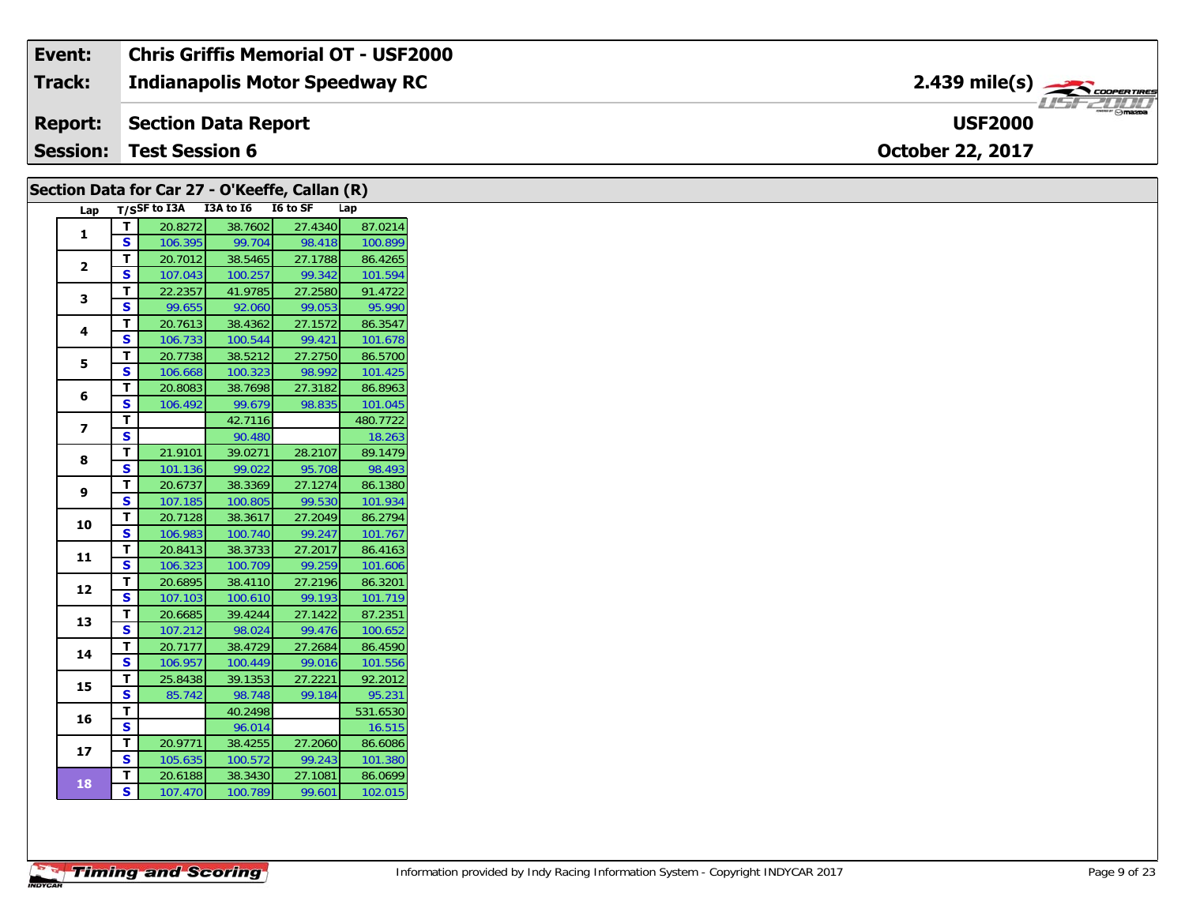| Event:          | <b>Chris Griffis Memorial OT - USF2000</b> |                                           |
|-----------------|--------------------------------------------|-------------------------------------------|
| <b>Track:</b>   | <b>Indianapolis Motor Speedway RC</b>      | $2.439$ mile(s) $\rightarrow$ COOPERTIRES |
| <b>Report:</b>  | <b>Section Data Report</b>                 | <b>USF2000</b>                            |
| <b>Session:</b> | <b>Test Session 6</b>                      | <b>October 22, 2017</b>                   |

| Section Data for Car 27 - O'Keeffe, Callan (R) |              |                                     |         |         |          |
|------------------------------------------------|--------------|-------------------------------------|---------|---------|----------|
|                                                |              | Lap T/SSF to I3A I3A to I6 I6 to SF |         |         | Lap      |
|                                                | T            | 20.8272                             | 38.7602 | 27.4340 | 87.0214  |
| $\mathbf{1}$                                   | S.           | 106.395                             | 99.704  | 98.418  | 100.899  |
|                                                | T.           | 20.7012                             | 38.5465 | 27.1788 | 86.4265  |
| $\overline{2}$                                 | S.           | 107.043                             | 100.257 | 99.342  | 101.594  |
|                                                | T.           | 22.2357                             | 41.9785 | 27.2580 | 91.4722  |
| 3                                              | S.           | 99.655                              | 92.060  | 99.053  | 95.990   |
|                                                | T.           | 20.7613                             | 38.4362 | 27.1572 | 86.3547  |
| 4                                              | S.           | 106.733                             | 100.544 | 99.421  | 101.678  |
|                                                | T.           | 20.7738                             | 38.5212 | 27.2750 | 86.5700  |
| 5                                              | S            | 106.668                             | 100.323 | 98.992  | 101.425  |
|                                                | T.           | 20.8083                             | 38.7698 | 27.3182 | 86.8963  |
| 6                                              | S            | 106.492                             | 99.679  | 98.835  | 101.045  |
|                                                | T.           |                                     | 42.7116 |         | 480.7722 |
| $\overline{z}$                                 | S            |                                     | 90.480  |         | 18.263   |
|                                                | T.           | 21.9101                             | 39.0271 | 28.2107 | 89.1479  |
| 8                                              | <b>S</b>     | 101.136                             | 99.022  | 95.708  | 98.493   |
|                                                | T.           | 20.6737                             | 38.3369 | 27.1274 | 86.1380  |
| 9                                              | S.           | 107.185                             | 100.805 | 99.530  | 101.934  |
|                                                | T.           | 20.7128                             | 38.3617 | 27.2049 | 86.2794  |
| 10                                             | S            | 106.983                             | 100.740 | 99.247  | 101.767  |
|                                                | T.           | 20.8413                             | 38.3733 | 27.2017 | 86.4163  |
| 11                                             | <b>S</b>     | 106.323                             | 100.709 | 99.259  | 101.606  |
|                                                | T            | 20.6895                             | 38.4110 | 27.2196 | 86.3201  |
| 12                                             | <b>S</b>     | 107.103                             | 100.610 | 99.193  | 101.719  |
|                                                | T.           | 20.6685                             | 39.4244 | 27.1422 | 87.2351  |
| 13                                             | S.           | 107.212                             | 98.024  | 99.476  | 100.652  |
|                                                | T.           | 20.7177                             | 38.4729 | 27.2684 | 86.4590  |
| 14                                             | S.           | 106.957                             | 100.449 | 99.016  | 101.556  |
|                                                | T.           | 25.8438                             | 39.1353 | 27.2221 | 92.2012  |
| 15                                             | S            | 85.742                              | 98.748  | 99.184  | 95.231   |
|                                                | T.           |                                     | 40.2498 |         | 531.6530 |
| 16                                             | S            |                                     | 96.014  |         | 16.515   |
|                                                | Τ.           | 20.9771                             | 38.4255 | 27.2060 | 86.6086  |
| 17                                             | $\mathbf{s}$ | 105.635                             | 100.572 | 99.243  | 101.380  |
|                                                | T.           | 20.6188                             | 38.3430 | 27.1081 | 86.0699  |
| <b>18</b>                                      | S.           | 107.470                             | 100.789 | 99.601  | 102.015  |
|                                                |              |                                     |         |         |          |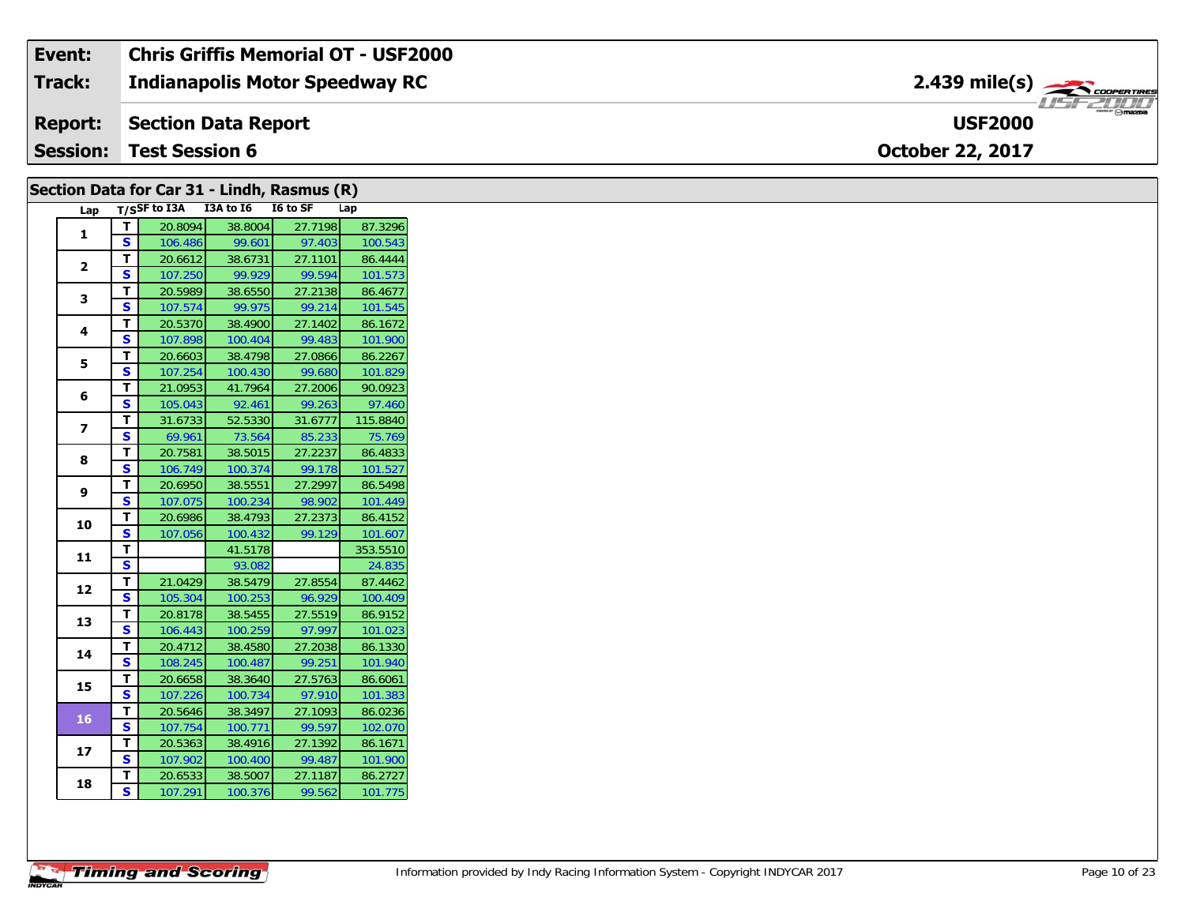#### Event: **Chris Griffis Memorial OT - USF2000** 2.439 mile(s) **Track: Indianapolis Motor Speedway RC Report: Section Data Report USF2000 Session: Test Session 6** October 22, 2017

|                |                         |                            |         | Section Data for Car 31 - Lindh, Rasmus (R) |          |
|----------------|-------------------------|----------------------------|---------|---------------------------------------------|----------|
|                |                         | Lap T/SSF to I3A I3A to I6 |         | I6 to SF                                    | Lap      |
| $\mathbf{1}$   | $\mathbf{T}$            | 20.8094                    | 38.8004 | 27.7198                                     | 87.3296  |
|                | S                       | 106.486                    | 99.601  | 97.403                                      | 100.543  |
| $\mathbf{2}$   | T                       | 20.6612                    | 38.6731 | 27.1101                                     | 86.4444  |
|                | S                       | 107.250                    | 99.929  | 99.594                                      | 101.573  |
| 3              | T.                      | 20.5989                    | 38.6550 | 27.2138                                     | 86.4677  |
|                | S.                      | 107.574                    | 99.975  | 99.214                                      | 101.545  |
| 4              | T.                      | 20.5370                    | 38.4900 | 27.1402                                     | 86.1672  |
|                | S.                      | 107.898                    | 100.404 | 99.483                                      | 101.900  |
| 5              | T.                      | 20.6603                    | 38.4798 | 27.0866                                     | 86.2267  |
|                | S.                      | 107.254                    | 100.430 | 99.680                                      | 101.829  |
| 6              | T.                      | 21.0953                    | 41.7964 | 27.2006                                     | 90.0923  |
|                | S                       | 105.043                    | 92.461  | 99.263                                      | 97.460   |
| $\overline{z}$ | T.                      | 31.6733                    | 52.5330 | 31.6777                                     | 115.8840 |
|                | S.                      | 69.961                     | 73.564  | 85.233                                      | 75.769   |
|                | T.                      | 20.7581                    | 38.5015 | 27.2237                                     | 86.4833  |
| 8              | S.                      | 106.749                    | 100.374 | 99.178                                      | 101.527  |
|                | T.                      | 20.6950                    | 38.5551 | 27.2997                                     | 86.5498  |
| 9              | S                       | 107.075                    | 100.234 | 98.902                                      | 101.449  |
|                | T.                      | 20.6986                    | 38.4793 | 27.2373                                     | 86.4152  |
| 10             | S                       | 107.056                    | 100.432 | 99.129                                      | 101.607  |
|                | T.                      |                            | 41.5178 |                                             | 353.5510 |
| 11             | $\overline{\mathbf{s}}$ |                            | 93.082  |                                             | 24.835   |
|                | T                       | 21.0429                    | 38.5479 | 27.8554                                     | 87.4462  |
| 12             | <b>S</b>                | 105.304                    | 100.253 | 96.929                                      | 100.409  |
|                | T.                      | 20.8178                    | 38.5455 | 27.5519                                     | 86.9152  |
| 13             | S.                      | 106.443                    | 100.259 | 97.997                                      | 101.023  |
|                | T.                      | 20.4712                    | 38.4580 | 27.2038                                     | 86.1330  |
| 14             | S.                      | 108.245                    | 100.487 | 99.251                                      | 101.940  |
|                | T.                      | 20.6658                    | 38.3640 | 27.5763                                     | 86.6061  |
| 15             | S.                      | 107.226                    | 100.734 | 97.910                                      | 101.383  |
|                | T.                      | 20.5646                    | 38.3497 | 27.1093                                     | 86.0236  |
| <b>16</b>      | S.                      | 107.754                    | 100.771 | 99.597                                      | 102.070  |
|                | T.                      | 20.5363                    | 38.4916 | 27.1392                                     | 86.1671  |
| 17             | S.                      | 107.902                    | 100.400 | 99.487                                      | 101.900  |
|                | T.                      | 20.6533                    | 38.5007 | 27.1187                                     | 86.2727  |
| 18             | S                       | 107.291                    | 100.376 | 99.562                                      | 101.775  |
|                |                         |                            |         |                                             |          |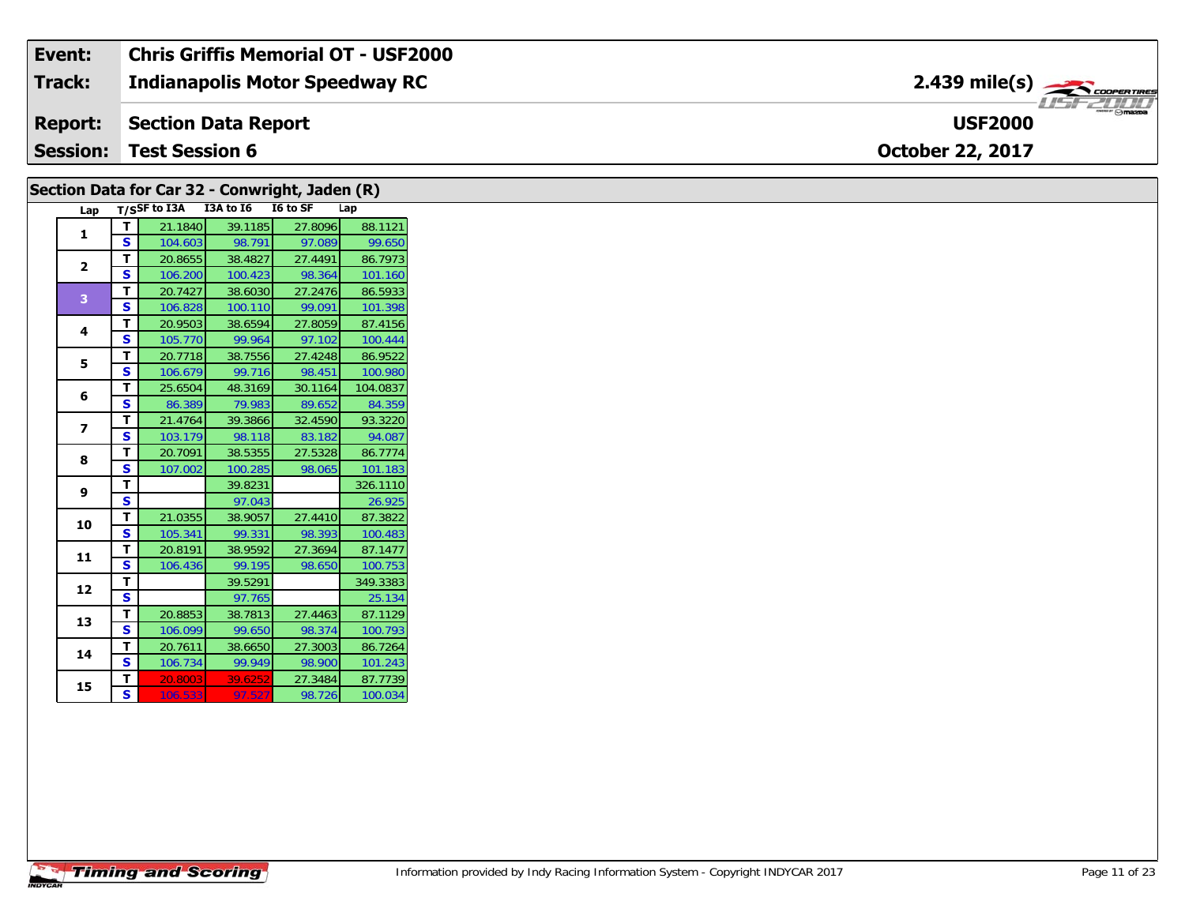| Event:          | <b>Chris Griffis Memorial OT - USF2000</b> |                               |
|-----------------|--------------------------------------------|-------------------------------|
| Track:          | Indianapolis Motor Speedway RC             | $2.439$ mile(s) $\rightarrow$ |
| Report:         | Section Data Report                        | <b>USF2000</b>                |
| <b>Session:</b> | Test Session 6                             | <b>October 22, 2017</b>       |

|                |               |                                     |                   | Section Data for Car 32 - Conwright, Jaden (R) |                    |
|----------------|---------------|-------------------------------------|-------------------|------------------------------------------------|--------------------|
|                |               | Lap T/SSF to I3A I3A to I6 I6 to SF |                   |                                                | Lap                |
| 1              | $\mathbf{T}$  | 21.1840                             | 39.1185           | 27.8096                                        | 88.1121            |
|                | <b>S</b>      | 104.603                             | 98.791            | 97.089                                         | 99.650             |
| $\mathbf{2}$   | T             | 20.8655                             | 38.4827           | 27.4491                                        | 86.7973            |
|                | <b>S</b>      | 106.200                             | 100.423           | 98.364                                         | 101.160            |
| $\overline{3}$ | T             | 20.7427                             | 38.6030           | 27.2476                                        | 86.5933            |
|                | <b>S</b>      | 106.828                             | 100.110           | 99.091                                         | 101.398            |
| 4              | T             | 20.9503                             | 38.6594           | 27.8059                                        | 87.4156            |
|                | S             | 105.770                             | 99.964            | 97.102                                         | 100.444            |
| 5              | T             | 20.7718                             | 38.7556           | 27.4248                                        | 86.9522            |
|                | <b>S</b>      | 106.679                             | 99.716            | 98.451                                         | 100.980            |
| 6              | T             | 25.6504                             | 48.3169           | 30.1164                                        | 104.0837           |
|                | $\mathbf{s}$  | 86.389                              | 79.983            | 89.652                                         | 84.359             |
| $\overline{ }$ | T             | 21.4764                             | 39.3866           | 32.4590                                        | 93.3220            |
|                | <b>S</b>      | 103.179                             | 98.118            | 83.182                                         | 94.087             |
| 8              | T.            | 20.7091                             | 38.5355           | 27.5328                                        | 86.7774            |
|                | <b>S</b>      | 107.002                             | 100.285           | 98.065                                         | 101.183            |
| 9              | T             |                                     | 39.8231           |                                                | 326.1110           |
|                | S             |                                     | 97.043            |                                                | 26.925             |
| 10             | T.            | 21.0355                             | 38.9057           | 27.4410                                        | 87.3822            |
|                | $\mathbf{s}$  | 105.341                             | 99.331            | 98.393                                         | 100.483            |
| 11             | T             | 20.8191                             | 38.9592           | 27.3694                                        | 87.1477            |
|                | S             | 106.436                             | 99.195            | 98.650                                         | 100.753            |
| 12             | T<br><b>S</b> |                                     | 39.5291           |                                                | 349.3383           |
|                | T.            |                                     | 97.765            |                                                | 25.134             |
| 13             | $\mathbf{s}$  | 20.8853                             | 38.7813           | 27.4463                                        | 87.1129            |
|                |               | 106.099                             | 99.650            | 98.374                                         | 100.793<br>86.7264 |
| 14             | T<br><b>S</b> | 20.7611                             | 38.6650           | 27.3003                                        |                    |
|                |               | 106.734                             | 99.949            | 98.900                                         | 101.243            |
| 15             | Т<br><b>S</b> | 20.8003                             | 39.6252<br>97.527 | 27.3484                                        | 87.7739            |
|                |               | 106.533                             |                   | 98.726                                         | 100.034            |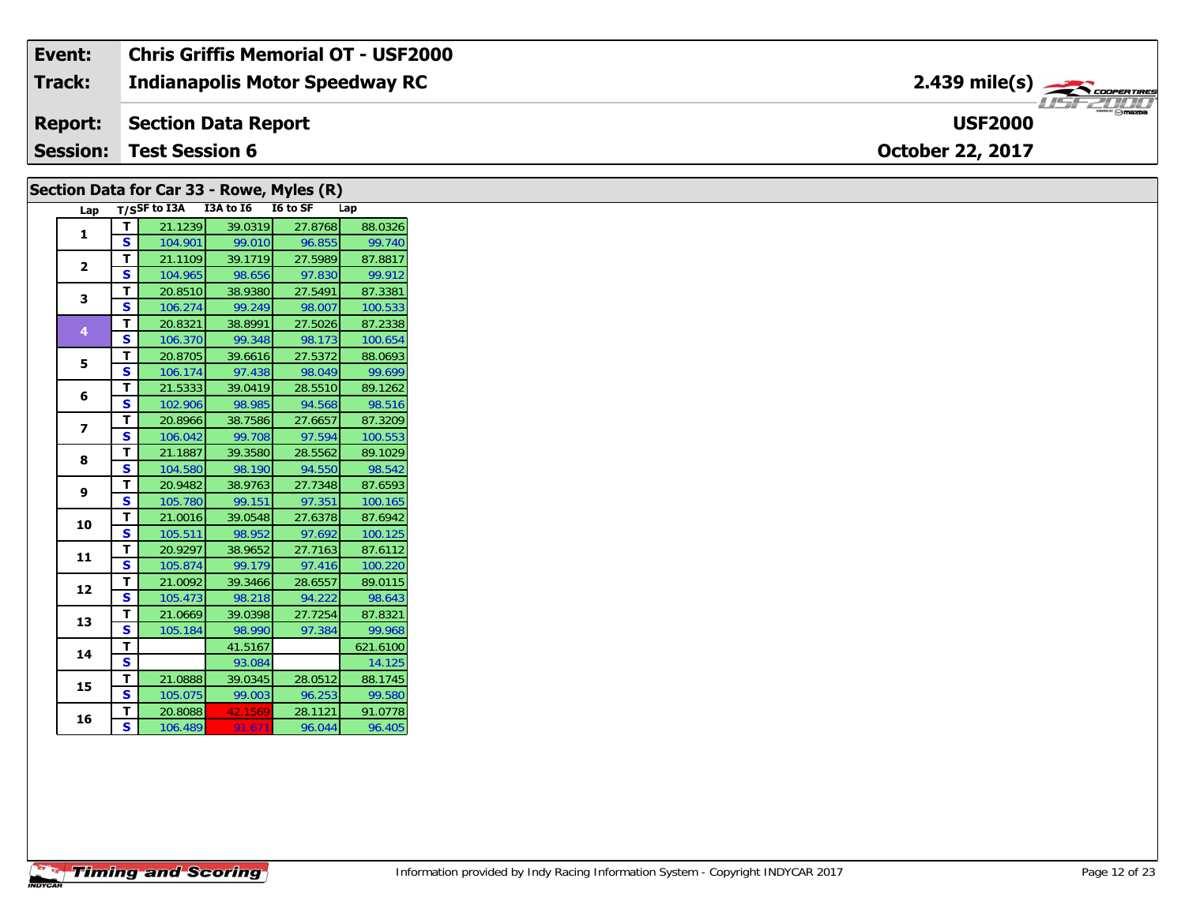| Event:          | <b>Chris Griffis Memorial OT - USF2000</b> |                               |
|-----------------|--------------------------------------------|-------------------------------|
| <b>Track:</b>   | <b>Indianapolis Motor Speedway RC</b>      | $2.439$ mile(s) $\rightarrow$ |
| <b>Report:</b>  | Section Data Report                        | <b>USF2000</b>                |
| <b>Session:</b> | <b>Test Session 6</b>                      | <b>October 22, 2017</b>       |

### **Lap T/SSF to I3A I3A to I6 I6 to SF Lap 1 <sup>T</sup>** 21.1239 39.0319 27.8768 88.0326 **<sup>S</sup>** 104.901 99.010 96.855 99.740**2 <sup>T</sup>** 21.1109 39.1719 27.5989 87.8817 **<sup>S</sup>** 104.965 98.656 97.830 99.91299.912 **3T** 20.8510 38.9380 27.5491 87.3381<br>**S** 106.274 99.249 98.007 100.533 **4 <sup>T</sup>** 20.8321 38.8991 27.5026 87.2338 **<sup>S</sup>** 106.370 99.348 98.173 100.654100.654 **5 <sup>T</sup>** 20.8705 39.6616 27.5372 88.0693 **<sup>S</sup>** 106.174 97.438 98.049 99.699**6 <sup>T</sup>** 21.5333 39.0419 28.5510 89.1262 **<sup>S</sup>** 102.906 98.985 94.568 98.516**7 <sup>T</sup>** 20.8966 38.7586 27.6657 87.3209 **<sup>S</sup>** 106.042 99.708 97.594 100.553100.553 **8 <sup>T</sup>** 21.1887 39.3580 28.5562 89.1029 **<sup>S</sup>** 104.580 98.190 94.550 98.542**9 <sup>T</sup>** 20.9482 38.9763 27.7348 87.6593 **<sup>S</sup>** 105.780 99.151 97.351 100.165100.165 **10 <sup>T</sup>** 21.0016 39.0548 27.6378 87.6942 **<sup>S</sup>** 105.511 98.952 97.692 100.125**11 <sup>T</sup>** 20.9297 38.9652 27.7163 87.6112 **<sup>S</sup>** 105.874 99.179 97.416 100.220**12 <sup>T</sup>** 21.0092 39.3466 28.6557 89.0115 **<sup>S</sup>** 105.473 98.218 94.222 98.643**13 <sup>T</sup>** 21.0669 39.0398 27.7254 87.8321 **<sup>S</sup>** 105.184 98.990 97.384 99.96899.968 **144 T** 41.5167 621.6100<br>**S** 93.084 14.125 14.125 **15 <sup>T</sup>** 21.0888 39.0345 28.0512 88.1745 **<sup>S</sup>** 105.075 99.003 96.253 99.580**Section Data for Car 33 - Rowe, Myles (R)**

**6 T** 20.8088 42.1569 28.1121 91.0778<br>**S** 106.489 91.671 96.044 96.405

**16**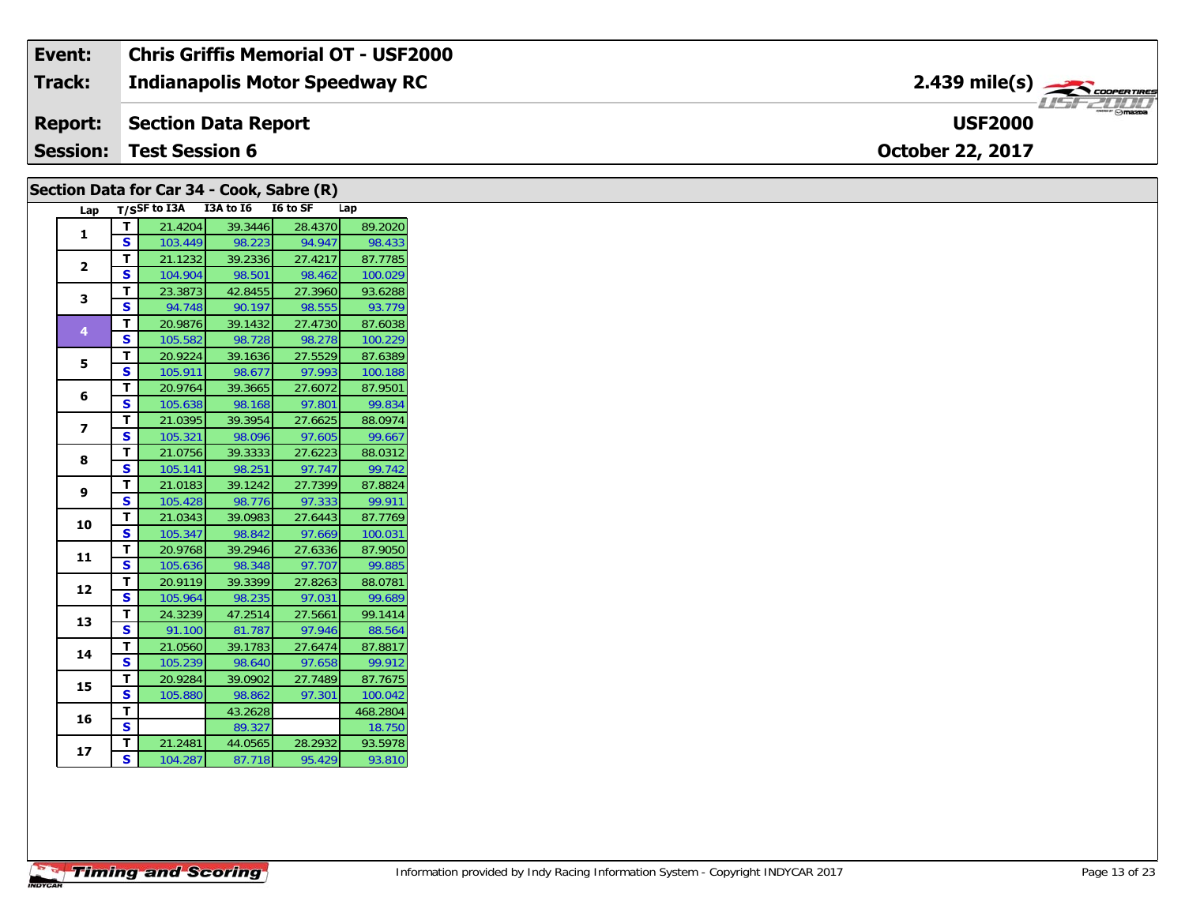| Event:          | <b>Chris Griffis Memorial OT - USF2000</b> |                                                         |
|-----------------|--------------------------------------------|---------------------------------------------------------|
| <b>Track:</b>   | <b>Indianapolis Motor Speedway RC</b>      |                                                         |
|                 | <b>Report: Section Data Report</b>         | $\overline{\phantom{a}}$ $\cap$ mazpa<br><b>USF2000</b> |
| <b>Session:</b> | <b>Test Session 6</b>                      | <b>October 22, 2017</b>                                 |

# Section Data for Car 34 - Cook, Sabre (R)

| Lap                      |    | T/SSF to I3A I3A to I6 |         | <b>I6 to SF</b> | Lap      |
|--------------------------|----|------------------------|---------|-----------------|----------|
| 1                        | т  | 21.4204                | 39.3446 | 28.4370         | 89.2020  |
|                          | S  | 103.449                | 98.223  | 94.947          | 98.433   |
| $\mathbf{z}$             | T. | 21.1232                | 39.2336 | 27.4217         | 87.7785  |
|                          | S  | 104.904                | 98.501  | 98.462          | 100.029  |
| 3                        | T. | 23.3873                | 42.8455 | 27.3960         | 93.6288  |
|                          | S  | 94.748                 | 90.197  | 98.555          | 93.779   |
| 4                        | T. | 20.9876                | 39.1432 | 27.4730         | 87.6038  |
|                          | S  | 105.582                | 98.728  | 98.278          | 100.229  |
| 5                        | T. | 20.9224                | 39.1636 | 27.5529         | 87.6389  |
|                          | S  | 105.911                | 98.677  | 97.993          | 100.188  |
|                          | T. | 20.9764                | 39.3665 | 27.6072         | 87.9501  |
| 6                        | S  | 105.638                | 98.168  | 97.801          | 99.834   |
|                          | T. | 21.0395                | 39.3954 | 27.6625         | 88.0974  |
| $\overline{\phantom{a}}$ | S  | 105.321                | 98.096  | 97.605          | 99.667   |
|                          | т  | 21.0756                | 39.3333 | 27.6223         | 88.0312  |
| 8                        | S  | 105.141                | 98.251  | 97.747          | 99.742   |
|                          | T. | 21.0183                | 39.1242 | 27.7399         | 87.8824  |
| 9                        | S  | 105.428                | 98.776  | 97.333          | 99.911   |
|                          | T. | 21.0343                | 39.0983 | 27.6443         | 87.7769  |
| 10                       | S  | 105.347                | 98.842  | 97.669          | 100.031  |
|                          | T. | 20.9768                | 39.2946 | 27.6336         | 87.9050  |
| 11                       | S  | 105.636                | 98.348  | 97.707          | 99.885   |
|                          | T. | 20.9119                | 39.3399 | 27.8263         | 88.0781  |
| 12                       | S  | 105.964                | 98.235  | 97.031          | 99.689   |
| 13                       | т  | 24.3239                | 47.2514 | 27.5661         | 99.1414  |
|                          | S  | 91.100                 | 81.787  | 97.946          | 88.564   |
|                          | T. | 21.0560                | 39.1783 | 27.6474         | 87.8817  |
| 14                       | S  | 105.239                | 98.640  | 97.658          | 99.912   |
| 15                       | T. | 20.9284                | 39.0902 | 27.7489         | 87.7675  |
|                          | S  | 105.880                | 98.862  | 97.301          | 100.042  |
|                          | T  |                        | 43.2628 |                 | 468.2804 |
| 16                       | S  |                        | 89.327  |                 | 18.750   |
|                          | т  | 21.2481                | 44.0565 | 28.2932         | 93.5978  |
| 17                       | S  | 104.287                | 87.718  | 95.429          | 93.810   |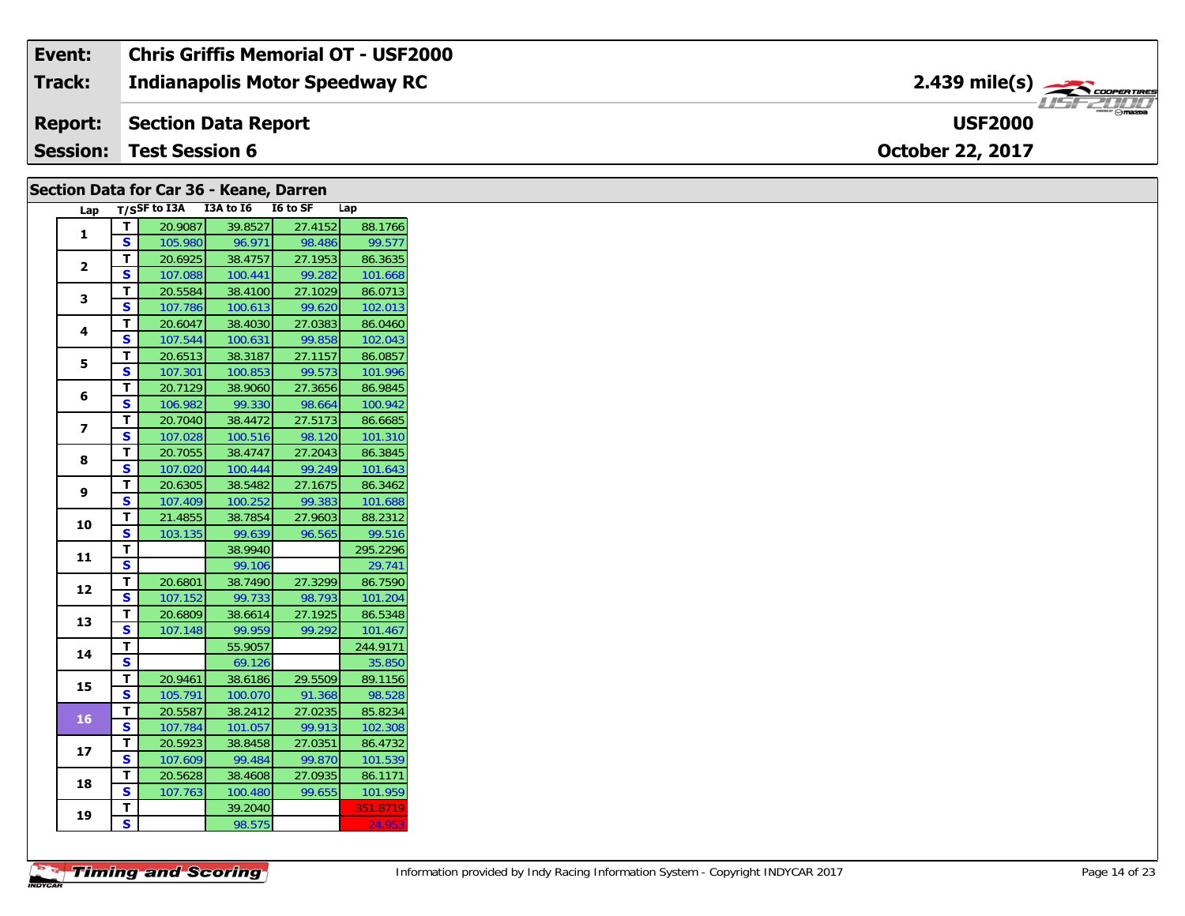| Event:          | <b>Chris Griffis Memorial OT - USF2000</b> |                                                      |
|-----------------|--------------------------------------------|------------------------------------------------------|
| Track:          | <b>Indianapolis Motor Speedway RC</b>      | $2.439$ mile(s) $\overbrace{\hspace{2cm}}$ coorganus |
| <b>Report:</b>  | Section Data Report                        | $m = \bigcirc$ mazpa<br><b>USF2000</b>               |
| <b>Session:</b> | <b>Test Session 6</b>                      | <b>October 22, 2017</b>                              |

## Section Data for Car 36 - Keane, Darren

| Lap                     |   | T/SSF to I3A | I3A to I6 | I6 to SF | Lap      |
|-------------------------|---|--------------|-----------|----------|----------|
| 1                       | т | 20.9087      | 39.8527   | 27.4152  | 88.1766  |
|                         | S | 105.980      | 96.971    | 98.486   | 99.577   |
| $\overline{2}$          | T | 20.6925      | 38.4757   | 27.1953  | 86.3635  |
|                         | S | 107.088      | 100.441   | 99.282   | 101.668  |
| 3                       | T | 20.5584      | 38.4100   | 27.1029  | 86.0713  |
|                         | S | 107.786      | 100.613   | 99.620   | 102.013  |
| 4                       | т | 20.6047      | 38.4030   | 27.0383  | 86.0460  |
|                         | S | 107.544      | 100.631   | 99.858   | 102.043  |
| 5                       | т | 20.6513      | 38.3187   | 27.1157  | 86.0857  |
|                         | S | 107.301      | 100.853   | 99.573   | 101.996  |
| 6                       | т | 20.7129      | 38.9060   | 27.3656  | 86.9845  |
|                         | S | 106.982      | 99.330    | 98.664   | 100.942  |
| $\overline{\mathbf{z}}$ | т | 20.7040      | 38.4472   | 27.5173  | 86.6685  |
|                         | S | 107.028      | 100.516   | 98.120   | 101.310  |
| 8                       | T | 20.7055      | 38.4747   | 27.2043  | 86.3845  |
|                         | S | 107.020      | 100.444   | 99.249   | 101.643  |
| 9                       | T | 20.6305      | 38.5482   | 27.1675  | 86.3462  |
|                         | S | 107.409      | 100.252   | 99.383   | 101.688  |
| 10                      | т | 21.4855      | 38.7854   | 27.9603  | 88.2312  |
|                         | S | 103.135      | 99.639    | 96.565   | 99.516   |
| 11                      | T |              | 38.9940   |          | 295.2296 |
|                         | S |              | 99.106    |          | 29.741   |
| 12                      | т | 20.6801      | 38.7490   | 27.3299  | 86.7590  |
|                         | S | 107.152      | 99.733    | 98.793   | 101.204  |
| 13                      | T | 20.6809      | 38.6614   | 27.1925  | 86.5348  |
|                         | S | 107.148      | 99.959    | 99.292   | 101.467  |
| 14                      | т |              | 55.9057   |          | 244.9171 |
|                         | S |              | 69.126    |          | 35.850   |
| 15                      | т | 20.9461      | 38.6186   | 29.5509  | 89.1156  |
|                         | S | 105.791      | 100.070   | 91.368   | 98.528   |
| 16                      | т | 20.5587      | 38.2412   | 27.0235  | 85.8234  |
|                         | S | 107.784      | 101.057   | 99.913   | 102.308  |
| 17                      | T | 20.5923      | 38.8458   | 27.0351  | 86.4732  |
|                         | S | 107.609      | 99.484    | 99.870   | 101.539  |
| 18                      | т | 20.5628      | 38.4608   | 27.0935  | 86.1171  |
|                         | S | 107.763      | 100.480   | 99.655   | 101.959  |
| 19                      | T |              | 39.2040   |          | 351.8719 |
|                         | S |              | 98.575    |          | 24.953   |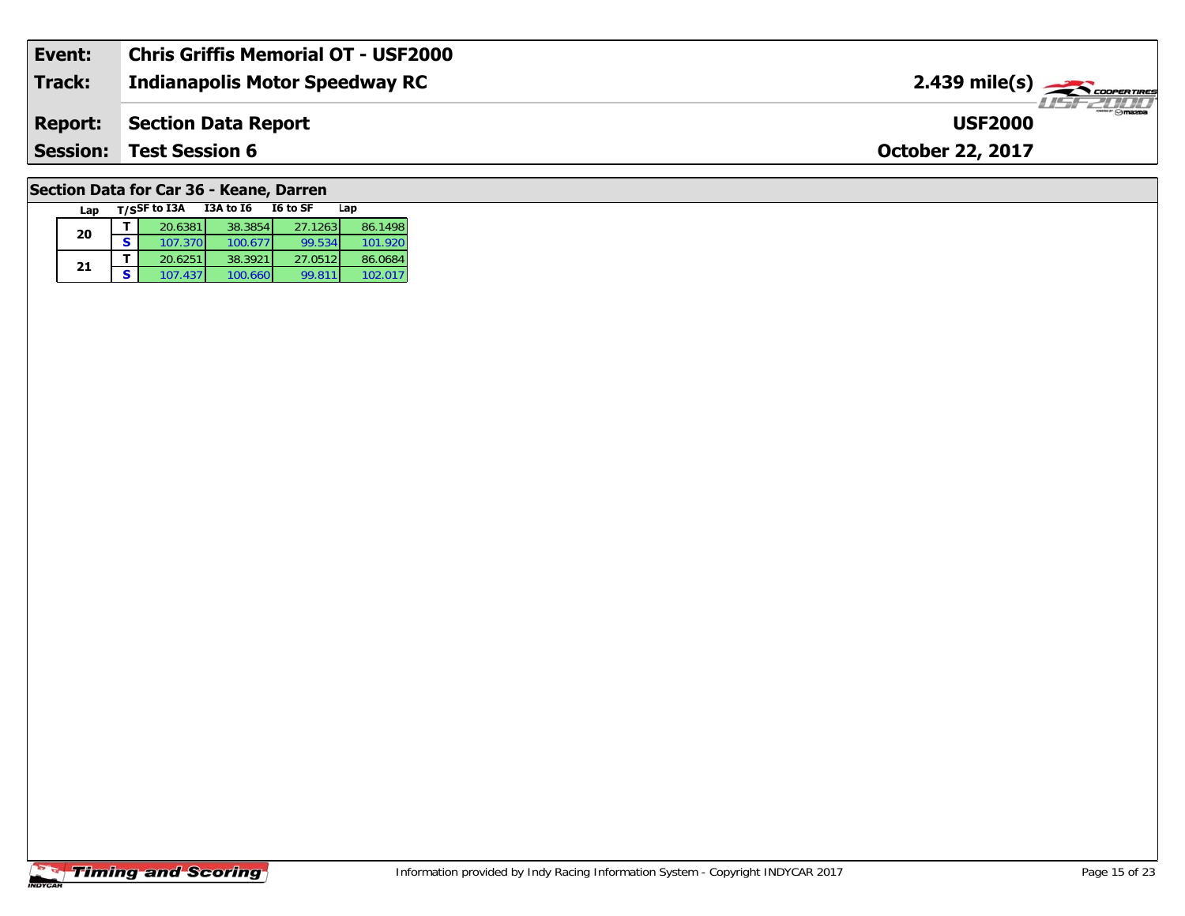| Event:          | <b>Chris Griffis Memorial OT - USF2000</b> |                                               |
|-----------------|--------------------------------------------|-----------------------------------------------|
| Track:          | <b>Indianapolis Motor Speedway RC</b>      | $2.439$ mile(s) $\frac{1}{2.48}$ coorer Times |
| <b>Report:</b>  | Section Data Report                        | $m \cap max$<br><b>USF2000</b>                |
| <b>Session:</b> | <b>Test Session 6</b>                      | <b>October 22, 2017</b>                       |
|                 |                                            |                                               |

# **Section Data for Car 36 - Keane, Darren**

| Lap |   | T/SSF to I3A | <b>I3A to 16</b> | I6 to SF | Lap     |
|-----|---|--------------|------------------|----------|---------|
| 20  |   | 20.6381      | 38.3854          | 27.1263  | 86.1498 |
|     | S | 107.370      | 100.677          | 99.534   | 101.920 |
| 21  |   | 20.6251      | 38.3921          | 27.0512  | 86.0684 |
|     | S | 107.437      | 100.660          | 99.811   | 102.017 |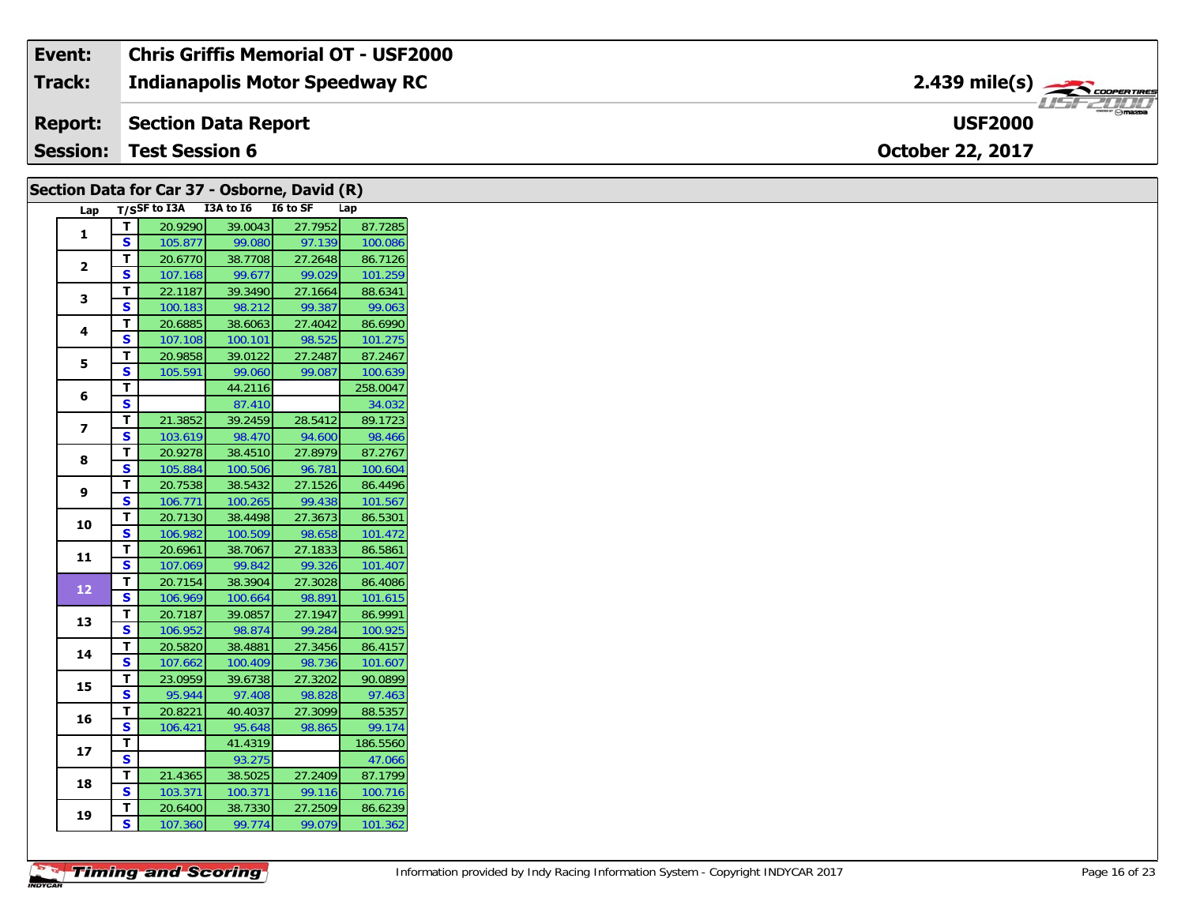#### Event: **Chris Griffis Memorial OT - USF2000** 2.439 mile(s) **Track: Indianapolis Motor Speedway RC Report: Section Data Report USF2000 Session: Test Session 6** October 22, 2017

| Lap T/SSF to I3A I3A to I6 I6 to SF<br>Lap<br>20.9290<br>39.0043<br>27.7952<br>$\mathbf T$<br>$\mathbf{1}$<br>$\overline{\mathbf{s}}$<br>99.080<br>105.877<br>97.139<br>T<br>20.6770<br>27.2648<br>38.7708<br>$\mathbf{2}$<br>$\mathbf{s}$<br>99.677<br>99.029<br>107.168<br>$\mathbf T$<br>27.1664<br>22.1187<br>39.3490<br>$\mathbf{3}$<br>S<br>98.212<br>99.387<br>100.183<br>27.4042<br>86.6990<br>T<br>20.6885<br>38.6063<br>4<br><b>S</b><br>107.108<br>100.101<br>98.525<br>101.275<br>$\mathbf{T}$<br>20.9858<br>39.0122<br>27.2487<br>87.2467<br>5<br><b>S</b><br>99.060<br>99.087<br>100.639<br>105.591<br>T<br>44.2116<br>6<br>$\overline{\mathbf{s}}$<br>87.410<br>34.032<br>$\mathbf T$<br>28.5412<br>21.3852<br>39.2459<br>89.1723<br>$\overline{\mathbf{z}}$<br><b>S</b><br>103.619<br>98.470<br>94.600<br>98.466<br>$\overline{\mathbf{T}}$<br>27.8979<br>87.2767<br>20.9278<br>38.4510<br>8<br>$\mathbf{s}$<br>100.604<br>105.884<br>100.506<br>96.781<br>T<br>38.5432<br>27.1526<br>20.7538<br>86.4496<br>9<br>S<br>106.771<br>99.438<br>101.567<br>100.265<br>T<br>27.3673<br>86.5301<br>20.7130<br>38.4498<br>10<br>$\overline{\mathbf{s}}$<br>106.982<br>100.509<br>98.658<br>101.472<br>T<br>27.1833<br>86.5861<br>20.6961<br>38.7067<br>11<br>S<br>99.842<br>99.326<br>101.407<br>107.069<br>T<br>38.3904<br>27.3028<br>86.4086<br>20.7154<br>$12\,$<br>$\mathbf{s}$<br>101.615<br>106.969<br>98.891<br>100.664<br>T<br>20.7187<br>27.1947<br>86.9991<br>39.0857<br>13<br>$\mathbf{s}$<br>99.284<br>106.952<br>98.874<br>100.925<br>T<br>20.5820<br>27.3456<br>86.4157<br>38.4881<br>14<br>$\mathbf{s}$<br>98.736<br>101.607<br>107.662<br>100.409<br>T<br>27.3202<br>90.0899<br>23.0959<br>39.6738<br>15<br><b>S</b><br>97.463<br>97.408<br>98.828<br>95.944<br>27.3099<br>88.5357<br>T<br>20.8221<br>40.4037<br>16<br><b>S</b><br>98.865<br>99.174<br>106.421<br>95.648<br>T<br>186.5560<br>41.4319<br>17<br>$\overline{\mathbf{s}}$<br>93.275<br>T<br>27.2409<br>21.4365<br>38.5025<br>18<br>$\mathbf{s}$<br>103.371<br>100.371<br>99.116<br>27.2509<br>T<br>20.6400<br>38.7330<br>19<br><b>S</b> |  | Section Data for Car 37 - Osborne, David (R) |        |        |          |
|-----------------------------------------------------------------------------------------------------------------------------------------------------------------------------------------------------------------------------------------------------------------------------------------------------------------------------------------------------------------------------------------------------------------------------------------------------------------------------------------------------------------------------------------------------------------------------------------------------------------------------------------------------------------------------------------------------------------------------------------------------------------------------------------------------------------------------------------------------------------------------------------------------------------------------------------------------------------------------------------------------------------------------------------------------------------------------------------------------------------------------------------------------------------------------------------------------------------------------------------------------------------------------------------------------------------------------------------------------------------------------------------------------------------------------------------------------------------------------------------------------------------------------------------------------------------------------------------------------------------------------------------------------------------------------------------------------------------------------------------------------------------------------------------------------------------------------------------------------------------------------------------------------------------------------------------------------------------------------------------------------------------------------------------------------------------------------------------------------------------------------|--|----------------------------------------------|--------|--------|----------|
|                                                                                                                                                                                                                                                                                                                                                                                                                                                                                                                                                                                                                                                                                                                                                                                                                                                                                                                                                                                                                                                                                                                                                                                                                                                                                                                                                                                                                                                                                                                                                                                                                                                                                                                                                                                                                                                                                                                                                                                                                                                                                                                             |  |                                              |        |        |          |
|                                                                                                                                                                                                                                                                                                                                                                                                                                                                                                                                                                                                                                                                                                                                                                                                                                                                                                                                                                                                                                                                                                                                                                                                                                                                                                                                                                                                                                                                                                                                                                                                                                                                                                                                                                                                                                                                                                                                                                                                                                                                                                                             |  |                                              |        |        | 87.7285  |
|                                                                                                                                                                                                                                                                                                                                                                                                                                                                                                                                                                                                                                                                                                                                                                                                                                                                                                                                                                                                                                                                                                                                                                                                                                                                                                                                                                                                                                                                                                                                                                                                                                                                                                                                                                                                                                                                                                                                                                                                                                                                                                                             |  |                                              |        |        | 100.086  |
|                                                                                                                                                                                                                                                                                                                                                                                                                                                                                                                                                                                                                                                                                                                                                                                                                                                                                                                                                                                                                                                                                                                                                                                                                                                                                                                                                                                                                                                                                                                                                                                                                                                                                                                                                                                                                                                                                                                                                                                                                                                                                                                             |  |                                              |        |        | 86.7126  |
|                                                                                                                                                                                                                                                                                                                                                                                                                                                                                                                                                                                                                                                                                                                                                                                                                                                                                                                                                                                                                                                                                                                                                                                                                                                                                                                                                                                                                                                                                                                                                                                                                                                                                                                                                                                                                                                                                                                                                                                                                                                                                                                             |  |                                              |        |        | 101.259  |
|                                                                                                                                                                                                                                                                                                                                                                                                                                                                                                                                                                                                                                                                                                                                                                                                                                                                                                                                                                                                                                                                                                                                                                                                                                                                                                                                                                                                                                                                                                                                                                                                                                                                                                                                                                                                                                                                                                                                                                                                                                                                                                                             |  |                                              |        |        | 88.6341  |
|                                                                                                                                                                                                                                                                                                                                                                                                                                                                                                                                                                                                                                                                                                                                                                                                                                                                                                                                                                                                                                                                                                                                                                                                                                                                                                                                                                                                                                                                                                                                                                                                                                                                                                                                                                                                                                                                                                                                                                                                                                                                                                                             |  |                                              |        |        | 99.063   |
|                                                                                                                                                                                                                                                                                                                                                                                                                                                                                                                                                                                                                                                                                                                                                                                                                                                                                                                                                                                                                                                                                                                                                                                                                                                                                                                                                                                                                                                                                                                                                                                                                                                                                                                                                                                                                                                                                                                                                                                                                                                                                                                             |  |                                              |        |        |          |
|                                                                                                                                                                                                                                                                                                                                                                                                                                                                                                                                                                                                                                                                                                                                                                                                                                                                                                                                                                                                                                                                                                                                                                                                                                                                                                                                                                                                                                                                                                                                                                                                                                                                                                                                                                                                                                                                                                                                                                                                                                                                                                                             |  |                                              |        |        |          |
|                                                                                                                                                                                                                                                                                                                                                                                                                                                                                                                                                                                                                                                                                                                                                                                                                                                                                                                                                                                                                                                                                                                                                                                                                                                                                                                                                                                                                                                                                                                                                                                                                                                                                                                                                                                                                                                                                                                                                                                                                                                                                                                             |  |                                              |        |        |          |
|                                                                                                                                                                                                                                                                                                                                                                                                                                                                                                                                                                                                                                                                                                                                                                                                                                                                                                                                                                                                                                                                                                                                                                                                                                                                                                                                                                                                                                                                                                                                                                                                                                                                                                                                                                                                                                                                                                                                                                                                                                                                                                                             |  |                                              |        |        |          |
|                                                                                                                                                                                                                                                                                                                                                                                                                                                                                                                                                                                                                                                                                                                                                                                                                                                                                                                                                                                                                                                                                                                                                                                                                                                                                                                                                                                                                                                                                                                                                                                                                                                                                                                                                                                                                                                                                                                                                                                                                                                                                                                             |  |                                              |        |        | 258.0047 |
|                                                                                                                                                                                                                                                                                                                                                                                                                                                                                                                                                                                                                                                                                                                                                                                                                                                                                                                                                                                                                                                                                                                                                                                                                                                                                                                                                                                                                                                                                                                                                                                                                                                                                                                                                                                                                                                                                                                                                                                                                                                                                                                             |  |                                              |        |        |          |
|                                                                                                                                                                                                                                                                                                                                                                                                                                                                                                                                                                                                                                                                                                                                                                                                                                                                                                                                                                                                                                                                                                                                                                                                                                                                                                                                                                                                                                                                                                                                                                                                                                                                                                                                                                                                                                                                                                                                                                                                                                                                                                                             |  |                                              |        |        |          |
|                                                                                                                                                                                                                                                                                                                                                                                                                                                                                                                                                                                                                                                                                                                                                                                                                                                                                                                                                                                                                                                                                                                                                                                                                                                                                                                                                                                                                                                                                                                                                                                                                                                                                                                                                                                                                                                                                                                                                                                                                                                                                                                             |  |                                              |        |        |          |
|                                                                                                                                                                                                                                                                                                                                                                                                                                                                                                                                                                                                                                                                                                                                                                                                                                                                                                                                                                                                                                                                                                                                                                                                                                                                                                                                                                                                                                                                                                                                                                                                                                                                                                                                                                                                                                                                                                                                                                                                                                                                                                                             |  |                                              |        |        |          |
|                                                                                                                                                                                                                                                                                                                                                                                                                                                                                                                                                                                                                                                                                                                                                                                                                                                                                                                                                                                                                                                                                                                                                                                                                                                                                                                                                                                                                                                                                                                                                                                                                                                                                                                                                                                                                                                                                                                                                                                                                                                                                                                             |  |                                              |        |        |          |
|                                                                                                                                                                                                                                                                                                                                                                                                                                                                                                                                                                                                                                                                                                                                                                                                                                                                                                                                                                                                                                                                                                                                                                                                                                                                                                                                                                                                                                                                                                                                                                                                                                                                                                                                                                                                                                                                                                                                                                                                                                                                                                                             |  |                                              |        |        |          |
|                                                                                                                                                                                                                                                                                                                                                                                                                                                                                                                                                                                                                                                                                                                                                                                                                                                                                                                                                                                                                                                                                                                                                                                                                                                                                                                                                                                                                                                                                                                                                                                                                                                                                                                                                                                                                                                                                                                                                                                                                                                                                                                             |  |                                              |        |        |          |
|                                                                                                                                                                                                                                                                                                                                                                                                                                                                                                                                                                                                                                                                                                                                                                                                                                                                                                                                                                                                                                                                                                                                                                                                                                                                                                                                                                                                                                                                                                                                                                                                                                                                                                                                                                                                                                                                                                                                                                                                                                                                                                                             |  |                                              |        |        |          |
|                                                                                                                                                                                                                                                                                                                                                                                                                                                                                                                                                                                                                                                                                                                                                                                                                                                                                                                                                                                                                                                                                                                                                                                                                                                                                                                                                                                                                                                                                                                                                                                                                                                                                                                                                                                                                                                                                                                                                                                                                                                                                                                             |  |                                              |        |        |          |
|                                                                                                                                                                                                                                                                                                                                                                                                                                                                                                                                                                                                                                                                                                                                                                                                                                                                                                                                                                                                                                                                                                                                                                                                                                                                                                                                                                                                                                                                                                                                                                                                                                                                                                                                                                                                                                                                                                                                                                                                                                                                                                                             |  |                                              |        |        |          |
|                                                                                                                                                                                                                                                                                                                                                                                                                                                                                                                                                                                                                                                                                                                                                                                                                                                                                                                                                                                                                                                                                                                                                                                                                                                                                                                                                                                                                                                                                                                                                                                                                                                                                                                                                                                                                                                                                                                                                                                                                                                                                                                             |  |                                              |        |        |          |
|                                                                                                                                                                                                                                                                                                                                                                                                                                                                                                                                                                                                                                                                                                                                                                                                                                                                                                                                                                                                                                                                                                                                                                                                                                                                                                                                                                                                                                                                                                                                                                                                                                                                                                                                                                                                                                                                                                                                                                                                                                                                                                                             |  |                                              |        |        |          |
|                                                                                                                                                                                                                                                                                                                                                                                                                                                                                                                                                                                                                                                                                                                                                                                                                                                                                                                                                                                                                                                                                                                                                                                                                                                                                                                                                                                                                                                                                                                                                                                                                                                                                                                                                                                                                                                                                                                                                                                                                                                                                                                             |  |                                              |        |        |          |
|                                                                                                                                                                                                                                                                                                                                                                                                                                                                                                                                                                                                                                                                                                                                                                                                                                                                                                                                                                                                                                                                                                                                                                                                                                                                                                                                                                                                                                                                                                                                                                                                                                                                                                                                                                                                                                                                                                                                                                                                                                                                                                                             |  |                                              |        |        |          |
|                                                                                                                                                                                                                                                                                                                                                                                                                                                                                                                                                                                                                                                                                                                                                                                                                                                                                                                                                                                                                                                                                                                                                                                                                                                                                                                                                                                                                                                                                                                                                                                                                                                                                                                                                                                                                                                                                                                                                                                                                                                                                                                             |  |                                              |        |        |          |
|                                                                                                                                                                                                                                                                                                                                                                                                                                                                                                                                                                                                                                                                                                                                                                                                                                                                                                                                                                                                                                                                                                                                                                                                                                                                                                                                                                                                                                                                                                                                                                                                                                                                                                                                                                                                                                                                                                                                                                                                                                                                                                                             |  |                                              |        |        |          |
|                                                                                                                                                                                                                                                                                                                                                                                                                                                                                                                                                                                                                                                                                                                                                                                                                                                                                                                                                                                                                                                                                                                                                                                                                                                                                                                                                                                                                                                                                                                                                                                                                                                                                                                                                                                                                                                                                                                                                                                                                                                                                                                             |  |                                              |        |        |          |
|                                                                                                                                                                                                                                                                                                                                                                                                                                                                                                                                                                                                                                                                                                                                                                                                                                                                                                                                                                                                                                                                                                                                                                                                                                                                                                                                                                                                                                                                                                                                                                                                                                                                                                                                                                                                                                                                                                                                                                                                                                                                                                                             |  |                                              |        |        |          |
|                                                                                                                                                                                                                                                                                                                                                                                                                                                                                                                                                                                                                                                                                                                                                                                                                                                                                                                                                                                                                                                                                                                                                                                                                                                                                                                                                                                                                                                                                                                                                                                                                                                                                                                                                                                                                                                                                                                                                                                                                                                                                                                             |  |                                              |        |        |          |
|                                                                                                                                                                                                                                                                                                                                                                                                                                                                                                                                                                                                                                                                                                                                                                                                                                                                                                                                                                                                                                                                                                                                                                                                                                                                                                                                                                                                                                                                                                                                                                                                                                                                                                                                                                                                                                                                                                                                                                                                                                                                                                                             |  |                                              |        |        |          |
|                                                                                                                                                                                                                                                                                                                                                                                                                                                                                                                                                                                                                                                                                                                                                                                                                                                                                                                                                                                                                                                                                                                                                                                                                                                                                                                                                                                                                                                                                                                                                                                                                                                                                                                                                                                                                                                                                                                                                                                                                                                                                                                             |  |                                              |        |        |          |
|                                                                                                                                                                                                                                                                                                                                                                                                                                                                                                                                                                                                                                                                                                                                                                                                                                                                                                                                                                                                                                                                                                                                                                                                                                                                                                                                                                                                                                                                                                                                                                                                                                                                                                                                                                                                                                                                                                                                                                                                                                                                                                                             |  |                                              |        |        | 47.066   |
|                                                                                                                                                                                                                                                                                                                                                                                                                                                                                                                                                                                                                                                                                                                                                                                                                                                                                                                                                                                                                                                                                                                                                                                                                                                                                                                                                                                                                                                                                                                                                                                                                                                                                                                                                                                                                                                                                                                                                                                                                                                                                                                             |  |                                              |        |        | 87.1799  |
|                                                                                                                                                                                                                                                                                                                                                                                                                                                                                                                                                                                                                                                                                                                                                                                                                                                                                                                                                                                                                                                                                                                                                                                                                                                                                                                                                                                                                                                                                                                                                                                                                                                                                                                                                                                                                                                                                                                                                                                                                                                                                                                             |  |                                              |        |        | 100.716  |
|                                                                                                                                                                                                                                                                                                                                                                                                                                                                                                                                                                                                                                                                                                                                                                                                                                                                                                                                                                                                                                                                                                                                                                                                                                                                                                                                                                                                                                                                                                                                                                                                                                                                                                                                                                                                                                                                                                                                                                                                                                                                                                                             |  |                                              |        |        | 86.6239  |
|                                                                                                                                                                                                                                                                                                                                                                                                                                                                                                                                                                                                                                                                                                                                                                                                                                                                                                                                                                                                                                                                                                                                                                                                                                                                                                                                                                                                                                                                                                                                                                                                                                                                                                                                                                                                                                                                                                                                                                                                                                                                                                                             |  | 107.360                                      | 99.774 | 99.079 | 101.362  |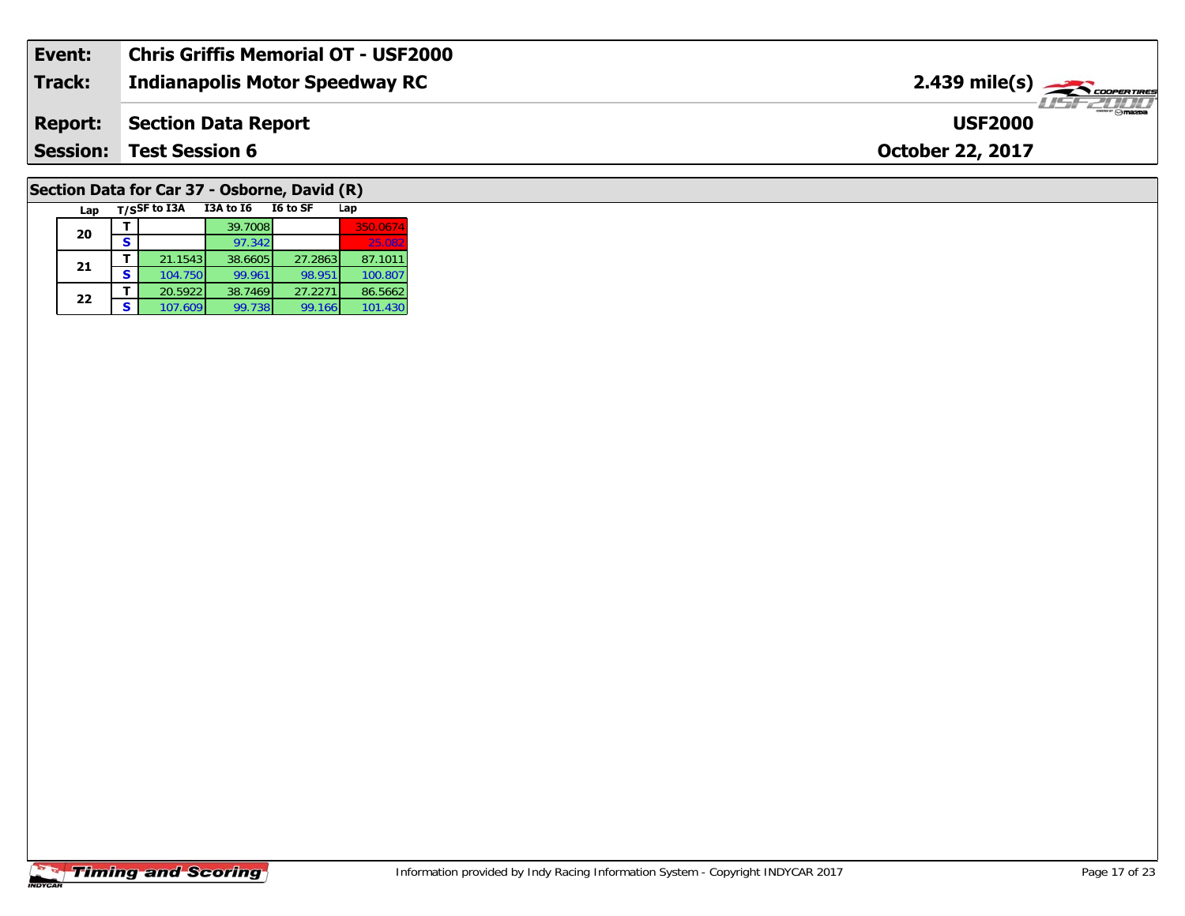| Event:          | <b>Chris Griffis Memorial OT - USF2000</b> |                                                                                                                                                                                                                                                                                                                                                                                                                                                                                                   |
|-----------------|--------------------------------------------|---------------------------------------------------------------------------------------------------------------------------------------------------------------------------------------------------------------------------------------------------------------------------------------------------------------------------------------------------------------------------------------------------------------------------------------------------------------------------------------------------|
| <b>Track:</b>   | <b>Indianapolis Motor Speedway RC</b>      | $2.439$ mile(s) $\overbrace{\hspace{2cm}}$ coorganged                                                                                                                                                                                                                                                                                                                                                                                                                                             |
| <b>Report:</b>  | Section Data Report                        | $\overline{\phantom{a}}$ $\overline{\phantom{a}}$ $\overline{\phantom{a}}$ $\overline{\phantom{a}}$ $\overline{\phantom{a}}$ $\overline{\phantom{a}}$ $\overline{\phantom{a}}$ $\overline{\phantom{a}}$ $\overline{\phantom{a}}$ $\overline{\phantom{a}}$ $\overline{\phantom{a}}$ $\overline{\phantom{a}}$ $\overline{\phantom{a}}$ $\overline{\phantom{a}}$ $\overline{\phantom{a}}$ $\overline{\phantom{a}}$ $\overline{\phantom{a}}$ $\overline{\phantom{a}}$ $\overline{\$<br><b>USF2000</b> |
| <b>Session:</b> | <b>Test Session 6</b>                      | <b>October 22, 2017</b>                                                                                                                                                                                                                                                                                                                                                                                                                                                                           |
|                 |                                            |                                                                                                                                                                                                                                                                                                                                                                                                                                                                                                   |

# **Section Data for Car 37 - Osborne, David (R)**

| Lap |   | T/SSF to I3A | <b>I3A to 16</b> | I6 to SF | Lap      |
|-----|---|--------------|------------------|----------|----------|
| 20  |   |              | 39.7008          |          | 350.0674 |
|     |   |              | 97.342           |          | 25.082   |
| 21  |   | 21.1543      | 38.6605          | 27.2863  | 87.1011  |
|     | S | 104.750      | 99.961           | 98.951   | 100.807  |
| 22  |   | 20.5922      | 38.7469          | 27.2271  | 86.5662  |
|     | S | 107.609      | 99.738           | 99.166   | 101.430  |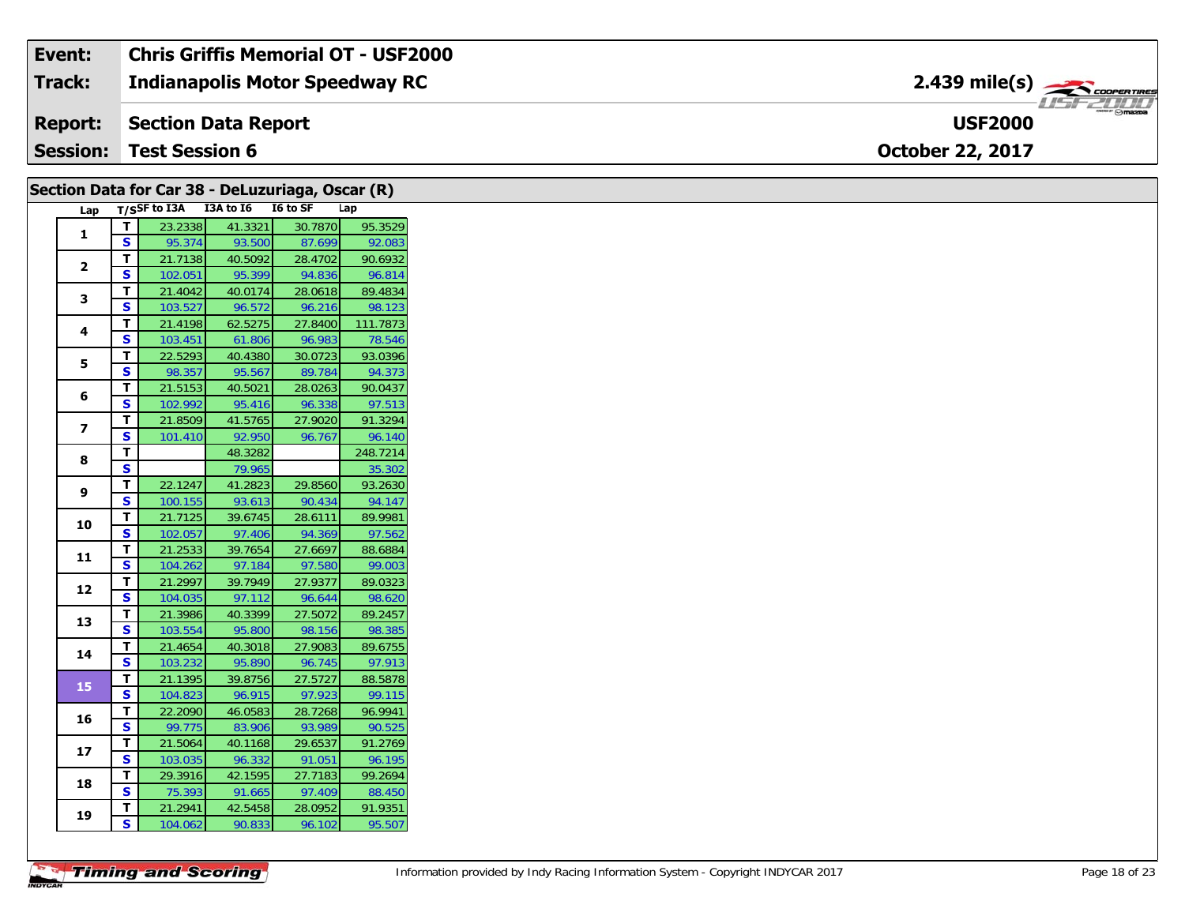| Event:          | Chris Griffis Memorial OT - USF2000   |                                                                                                                                                |
|-----------------|---------------------------------------|------------------------------------------------------------------------------------------------------------------------------------------------|
| Track:          | <b>Indianapolis Motor Speedway RC</b> | $2.439$ mile(s) $\rightarrow$ COOPER TIRES                                                                                                     |
| <b>Report:</b>  | Section Data Report                   | $\overline{\phantom{a}}$ $\overline{\phantom{a}}$ $\overline{\phantom{a}}$ $\overline{\phantom{a}}$ $\overline{\phantom{a}}$<br><b>USF2000</b> |
| <b>Session:</b> | <b>Test Session 6</b>                 | <b>October 22, 2017</b>                                                                                                                        |

| T/SSF to I3A I3A to I6 I6 to SF<br>Lap<br>Lap<br>23.2338<br>41.3321<br>30.7870<br>T<br>$\mathbf{1}$<br>$\overline{\mathbf{s}}$<br>95.374<br>93.500<br>87.699<br>92.083<br>T<br>21.7138<br>40.5092<br>28.4702<br>90.6932<br>$\mathbf{2}$<br>$\mathbf{s}$<br>96.814<br>95.399<br>94.836<br>102.051<br>T<br>40.0174<br>28.0618<br>89.4834<br>21.4042<br>3<br>$\mathbf{s}$<br>103.527<br>96.572<br>96.216<br>98.123<br>T<br>27.8400<br>111.7873<br>62.5275<br>21.4198<br>4<br>$\mathbf s$<br>96.983<br>103.451<br>61.806<br>78.546<br>T<br>22.5293<br>40.4380<br>30.0723<br>93.0396<br>5<br>S<br>94.373<br>98.357<br>95.567<br>89.784<br>T<br>21.5153<br>40.5021<br>28.0263<br>90.0437<br>6<br>$\mathbf{s}$<br>102.992<br>97.513<br>95.416<br>96.338<br>91.3294<br>T.<br>21.8509<br>41.5765<br>27.9020<br>$\overline{z}$<br>S<br>96.767<br>101.410<br>92.950<br>96.140<br>T<br>248.7214<br>48.3282<br>8<br>$\mathbf{s}$<br>79.965<br>35.302<br>29.8560<br>T.<br>22.1247<br>41.2823<br>93.2630<br>9<br>S<br>93.613<br>94.147<br>100.155<br>90.434<br>Т<br>21.7125<br>39.6745<br>28.6111<br>89.9981<br>10<br>$\overline{\mathbf{s}}$<br>97.562<br>102.057<br>97.406<br>94.369<br>27.6697<br>T<br>21.2533<br>39.7654<br>88.6884<br>11<br>$\mathbf s$<br>97.580<br>99.003<br>104.262<br>97.184<br>T<br>27.9377<br>21.2997<br>39.7949<br>89.0323<br>12<br>$\mathbf{s}$<br>104.035<br>97.112<br>98.620<br>96.644<br>27.5072<br>T.<br>21.3986<br>40.3399<br>89.2457<br>13<br>$\overline{\mathbf{s}}$<br>103.554<br>98.156<br>98.385<br>95.800<br>27.9083<br>T.<br>21.4654<br>40.3018<br>89.6755<br>14<br>S<br>103.232<br>95.890<br>96.745<br>97.913<br>T<br>27.5727<br>39.8756<br>88.5878<br>21.1395<br>15<br>99.115<br>S<br>96.915<br>97.923<br>104.823<br>T.<br>22.2090<br>46.0583<br>28.7268<br>96.9941<br>16<br>S<br>93.989<br>99.775<br>83.906<br>90.525<br>29.6537<br>T<br>21.5064<br>40.1168<br>91.2769<br>17<br>S<br>96.332<br>91.051<br>96.195<br>103.035<br>T<br>27.7183<br>99.2694<br>29.3916<br>42.1595<br>18<br>$\mathbf{s}$<br>91.665<br>88.450<br>75.393<br>97.409<br>28.0952<br>91.9351<br>T<br>21.2941<br>42.5458<br>19<br>$\mathbf{s}$<br>104.062<br>90.833<br>96.102<br>95.507 |  | Section Data for Car 38 - DeLuzuriaga, Oscar (R) |  |         |
|----------------------------------------------------------------------------------------------------------------------------------------------------------------------------------------------------------------------------------------------------------------------------------------------------------------------------------------------------------------------------------------------------------------------------------------------------------------------------------------------------------------------------------------------------------------------------------------------------------------------------------------------------------------------------------------------------------------------------------------------------------------------------------------------------------------------------------------------------------------------------------------------------------------------------------------------------------------------------------------------------------------------------------------------------------------------------------------------------------------------------------------------------------------------------------------------------------------------------------------------------------------------------------------------------------------------------------------------------------------------------------------------------------------------------------------------------------------------------------------------------------------------------------------------------------------------------------------------------------------------------------------------------------------------------------------------------------------------------------------------------------------------------------------------------------------------------------------------------------------------------------------------------------------------------------------------------------------------------------------------------------------------------------------------------------------------------------------------------------------------------------------------------------------------------------------|--|--------------------------------------------------|--|---------|
|                                                                                                                                                                                                                                                                                                                                                                                                                                                                                                                                                                                                                                                                                                                                                                                                                                                                                                                                                                                                                                                                                                                                                                                                                                                                                                                                                                                                                                                                                                                                                                                                                                                                                                                                                                                                                                                                                                                                                                                                                                                                                                                                                                                        |  |                                                  |  |         |
|                                                                                                                                                                                                                                                                                                                                                                                                                                                                                                                                                                                                                                                                                                                                                                                                                                                                                                                                                                                                                                                                                                                                                                                                                                                                                                                                                                                                                                                                                                                                                                                                                                                                                                                                                                                                                                                                                                                                                                                                                                                                                                                                                                                        |  |                                                  |  | 95.3529 |
|                                                                                                                                                                                                                                                                                                                                                                                                                                                                                                                                                                                                                                                                                                                                                                                                                                                                                                                                                                                                                                                                                                                                                                                                                                                                                                                                                                                                                                                                                                                                                                                                                                                                                                                                                                                                                                                                                                                                                                                                                                                                                                                                                                                        |  |                                                  |  |         |
|                                                                                                                                                                                                                                                                                                                                                                                                                                                                                                                                                                                                                                                                                                                                                                                                                                                                                                                                                                                                                                                                                                                                                                                                                                                                                                                                                                                                                                                                                                                                                                                                                                                                                                                                                                                                                                                                                                                                                                                                                                                                                                                                                                                        |  |                                                  |  |         |
|                                                                                                                                                                                                                                                                                                                                                                                                                                                                                                                                                                                                                                                                                                                                                                                                                                                                                                                                                                                                                                                                                                                                                                                                                                                                                                                                                                                                                                                                                                                                                                                                                                                                                                                                                                                                                                                                                                                                                                                                                                                                                                                                                                                        |  |                                                  |  |         |
|                                                                                                                                                                                                                                                                                                                                                                                                                                                                                                                                                                                                                                                                                                                                                                                                                                                                                                                                                                                                                                                                                                                                                                                                                                                                                                                                                                                                                                                                                                                                                                                                                                                                                                                                                                                                                                                                                                                                                                                                                                                                                                                                                                                        |  |                                                  |  |         |
|                                                                                                                                                                                                                                                                                                                                                                                                                                                                                                                                                                                                                                                                                                                                                                                                                                                                                                                                                                                                                                                                                                                                                                                                                                                                                                                                                                                                                                                                                                                                                                                                                                                                                                                                                                                                                                                                                                                                                                                                                                                                                                                                                                                        |  |                                                  |  |         |
|                                                                                                                                                                                                                                                                                                                                                                                                                                                                                                                                                                                                                                                                                                                                                                                                                                                                                                                                                                                                                                                                                                                                                                                                                                                                                                                                                                                                                                                                                                                                                                                                                                                                                                                                                                                                                                                                                                                                                                                                                                                                                                                                                                                        |  |                                                  |  |         |
|                                                                                                                                                                                                                                                                                                                                                                                                                                                                                                                                                                                                                                                                                                                                                                                                                                                                                                                                                                                                                                                                                                                                                                                                                                                                                                                                                                                                                                                                                                                                                                                                                                                                                                                                                                                                                                                                                                                                                                                                                                                                                                                                                                                        |  |                                                  |  |         |
|                                                                                                                                                                                                                                                                                                                                                                                                                                                                                                                                                                                                                                                                                                                                                                                                                                                                                                                                                                                                                                                                                                                                                                                                                                                                                                                                                                                                                                                                                                                                                                                                                                                                                                                                                                                                                                                                                                                                                                                                                                                                                                                                                                                        |  |                                                  |  |         |
|                                                                                                                                                                                                                                                                                                                                                                                                                                                                                                                                                                                                                                                                                                                                                                                                                                                                                                                                                                                                                                                                                                                                                                                                                                                                                                                                                                                                                                                                                                                                                                                                                                                                                                                                                                                                                                                                                                                                                                                                                                                                                                                                                                                        |  |                                                  |  |         |
|                                                                                                                                                                                                                                                                                                                                                                                                                                                                                                                                                                                                                                                                                                                                                                                                                                                                                                                                                                                                                                                                                                                                                                                                                                                                                                                                                                                                                                                                                                                                                                                                                                                                                                                                                                                                                                                                                                                                                                                                                                                                                                                                                                                        |  |                                                  |  |         |
|                                                                                                                                                                                                                                                                                                                                                                                                                                                                                                                                                                                                                                                                                                                                                                                                                                                                                                                                                                                                                                                                                                                                                                                                                                                                                                                                                                                                                                                                                                                                                                                                                                                                                                                                                                                                                                                                                                                                                                                                                                                                                                                                                                                        |  |                                                  |  |         |
|                                                                                                                                                                                                                                                                                                                                                                                                                                                                                                                                                                                                                                                                                                                                                                                                                                                                                                                                                                                                                                                                                                                                                                                                                                                                                                                                                                                                                                                                                                                                                                                                                                                                                                                                                                                                                                                                                                                                                                                                                                                                                                                                                                                        |  |                                                  |  |         |
|                                                                                                                                                                                                                                                                                                                                                                                                                                                                                                                                                                                                                                                                                                                                                                                                                                                                                                                                                                                                                                                                                                                                                                                                                                                                                                                                                                                                                                                                                                                                                                                                                                                                                                                                                                                                                                                                                                                                                                                                                                                                                                                                                                                        |  |                                                  |  |         |
|                                                                                                                                                                                                                                                                                                                                                                                                                                                                                                                                                                                                                                                                                                                                                                                                                                                                                                                                                                                                                                                                                                                                                                                                                                                                                                                                                                                                                                                                                                                                                                                                                                                                                                                                                                                                                                                                                                                                                                                                                                                                                                                                                                                        |  |                                                  |  |         |
|                                                                                                                                                                                                                                                                                                                                                                                                                                                                                                                                                                                                                                                                                                                                                                                                                                                                                                                                                                                                                                                                                                                                                                                                                                                                                                                                                                                                                                                                                                                                                                                                                                                                                                                                                                                                                                                                                                                                                                                                                                                                                                                                                                                        |  |                                                  |  |         |
|                                                                                                                                                                                                                                                                                                                                                                                                                                                                                                                                                                                                                                                                                                                                                                                                                                                                                                                                                                                                                                                                                                                                                                                                                                                                                                                                                                                                                                                                                                                                                                                                                                                                                                                                                                                                                                                                                                                                                                                                                                                                                                                                                                                        |  |                                                  |  |         |
|                                                                                                                                                                                                                                                                                                                                                                                                                                                                                                                                                                                                                                                                                                                                                                                                                                                                                                                                                                                                                                                                                                                                                                                                                                                                                                                                                                                                                                                                                                                                                                                                                                                                                                                                                                                                                                                                                                                                                                                                                                                                                                                                                                                        |  |                                                  |  |         |
|                                                                                                                                                                                                                                                                                                                                                                                                                                                                                                                                                                                                                                                                                                                                                                                                                                                                                                                                                                                                                                                                                                                                                                                                                                                                                                                                                                                                                                                                                                                                                                                                                                                                                                                                                                                                                                                                                                                                                                                                                                                                                                                                                                                        |  |                                                  |  |         |
|                                                                                                                                                                                                                                                                                                                                                                                                                                                                                                                                                                                                                                                                                                                                                                                                                                                                                                                                                                                                                                                                                                                                                                                                                                                                                                                                                                                                                                                                                                                                                                                                                                                                                                                                                                                                                                                                                                                                                                                                                                                                                                                                                                                        |  |                                                  |  |         |
|                                                                                                                                                                                                                                                                                                                                                                                                                                                                                                                                                                                                                                                                                                                                                                                                                                                                                                                                                                                                                                                                                                                                                                                                                                                                                                                                                                                                                                                                                                                                                                                                                                                                                                                                                                                                                                                                                                                                                                                                                                                                                                                                                                                        |  |                                                  |  |         |
|                                                                                                                                                                                                                                                                                                                                                                                                                                                                                                                                                                                                                                                                                                                                                                                                                                                                                                                                                                                                                                                                                                                                                                                                                                                                                                                                                                                                                                                                                                                                                                                                                                                                                                                                                                                                                                                                                                                                                                                                                                                                                                                                                                                        |  |                                                  |  |         |
|                                                                                                                                                                                                                                                                                                                                                                                                                                                                                                                                                                                                                                                                                                                                                                                                                                                                                                                                                                                                                                                                                                                                                                                                                                                                                                                                                                                                                                                                                                                                                                                                                                                                                                                                                                                                                                                                                                                                                                                                                                                                                                                                                                                        |  |                                                  |  |         |
|                                                                                                                                                                                                                                                                                                                                                                                                                                                                                                                                                                                                                                                                                                                                                                                                                                                                                                                                                                                                                                                                                                                                                                                                                                                                                                                                                                                                                                                                                                                                                                                                                                                                                                                                                                                                                                                                                                                                                                                                                                                                                                                                                                                        |  |                                                  |  |         |
|                                                                                                                                                                                                                                                                                                                                                                                                                                                                                                                                                                                                                                                                                                                                                                                                                                                                                                                                                                                                                                                                                                                                                                                                                                                                                                                                                                                                                                                                                                                                                                                                                                                                                                                                                                                                                                                                                                                                                                                                                                                                                                                                                                                        |  |                                                  |  |         |
|                                                                                                                                                                                                                                                                                                                                                                                                                                                                                                                                                                                                                                                                                                                                                                                                                                                                                                                                                                                                                                                                                                                                                                                                                                                                                                                                                                                                                                                                                                                                                                                                                                                                                                                                                                                                                                                                                                                                                                                                                                                                                                                                                                                        |  |                                                  |  |         |
|                                                                                                                                                                                                                                                                                                                                                                                                                                                                                                                                                                                                                                                                                                                                                                                                                                                                                                                                                                                                                                                                                                                                                                                                                                                                                                                                                                                                                                                                                                                                                                                                                                                                                                                                                                                                                                                                                                                                                                                                                                                                                                                                                                                        |  |                                                  |  |         |
|                                                                                                                                                                                                                                                                                                                                                                                                                                                                                                                                                                                                                                                                                                                                                                                                                                                                                                                                                                                                                                                                                                                                                                                                                                                                                                                                                                                                                                                                                                                                                                                                                                                                                                                                                                                                                                                                                                                                                                                                                                                                                                                                                                                        |  |                                                  |  |         |
|                                                                                                                                                                                                                                                                                                                                                                                                                                                                                                                                                                                                                                                                                                                                                                                                                                                                                                                                                                                                                                                                                                                                                                                                                                                                                                                                                                                                                                                                                                                                                                                                                                                                                                                                                                                                                                                                                                                                                                                                                                                                                                                                                                                        |  |                                                  |  |         |
|                                                                                                                                                                                                                                                                                                                                                                                                                                                                                                                                                                                                                                                                                                                                                                                                                                                                                                                                                                                                                                                                                                                                                                                                                                                                                                                                                                                                                                                                                                                                                                                                                                                                                                                                                                                                                                                                                                                                                                                                                                                                                                                                                                                        |  |                                                  |  |         |
|                                                                                                                                                                                                                                                                                                                                                                                                                                                                                                                                                                                                                                                                                                                                                                                                                                                                                                                                                                                                                                                                                                                                                                                                                                                                                                                                                                                                                                                                                                                                                                                                                                                                                                                                                                                                                                                                                                                                                                                                                                                                                                                                                                                        |  |                                                  |  |         |
|                                                                                                                                                                                                                                                                                                                                                                                                                                                                                                                                                                                                                                                                                                                                                                                                                                                                                                                                                                                                                                                                                                                                                                                                                                                                                                                                                                                                                                                                                                                                                                                                                                                                                                                                                                                                                                                                                                                                                                                                                                                                                                                                                                                        |  |                                                  |  |         |
|                                                                                                                                                                                                                                                                                                                                                                                                                                                                                                                                                                                                                                                                                                                                                                                                                                                                                                                                                                                                                                                                                                                                                                                                                                                                                                                                                                                                                                                                                                                                                                                                                                                                                                                                                                                                                                                                                                                                                                                                                                                                                                                                                                                        |  |                                                  |  |         |
|                                                                                                                                                                                                                                                                                                                                                                                                                                                                                                                                                                                                                                                                                                                                                                                                                                                                                                                                                                                                                                                                                                                                                                                                                                                                                                                                                                                                                                                                                                                                                                                                                                                                                                                                                                                                                                                                                                                                                                                                                                                                                                                                                                                        |  |                                                  |  |         |
|                                                                                                                                                                                                                                                                                                                                                                                                                                                                                                                                                                                                                                                                                                                                                                                                                                                                                                                                                                                                                                                                                                                                                                                                                                                                                                                                                                                                                                                                                                                                                                                                                                                                                                                                                                                                                                                                                                                                                                                                                                                                                                                                                                                        |  |                                                  |  |         |
|                                                                                                                                                                                                                                                                                                                                                                                                                                                                                                                                                                                                                                                                                                                                                                                                                                                                                                                                                                                                                                                                                                                                                                                                                                                                                                                                                                                                                                                                                                                                                                                                                                                                                                                                                                                                                                                                                                                                                                                                                                                                                                                                                                                        |  |                                                  |  |         |
|                                                                                                                                                                                                                                                                                                                                                                                                                                                                                                                                                                                                                                                                                                                                                                                                                                                                                                                                                                                                                                                                                                                                                                                                                                                                                                                                                                                                                                                                                                                                                                                                                                                                                                                                                                                                                                                                                                                                                                                                                                                                                                                                                                                        |  |                                                  |  |         |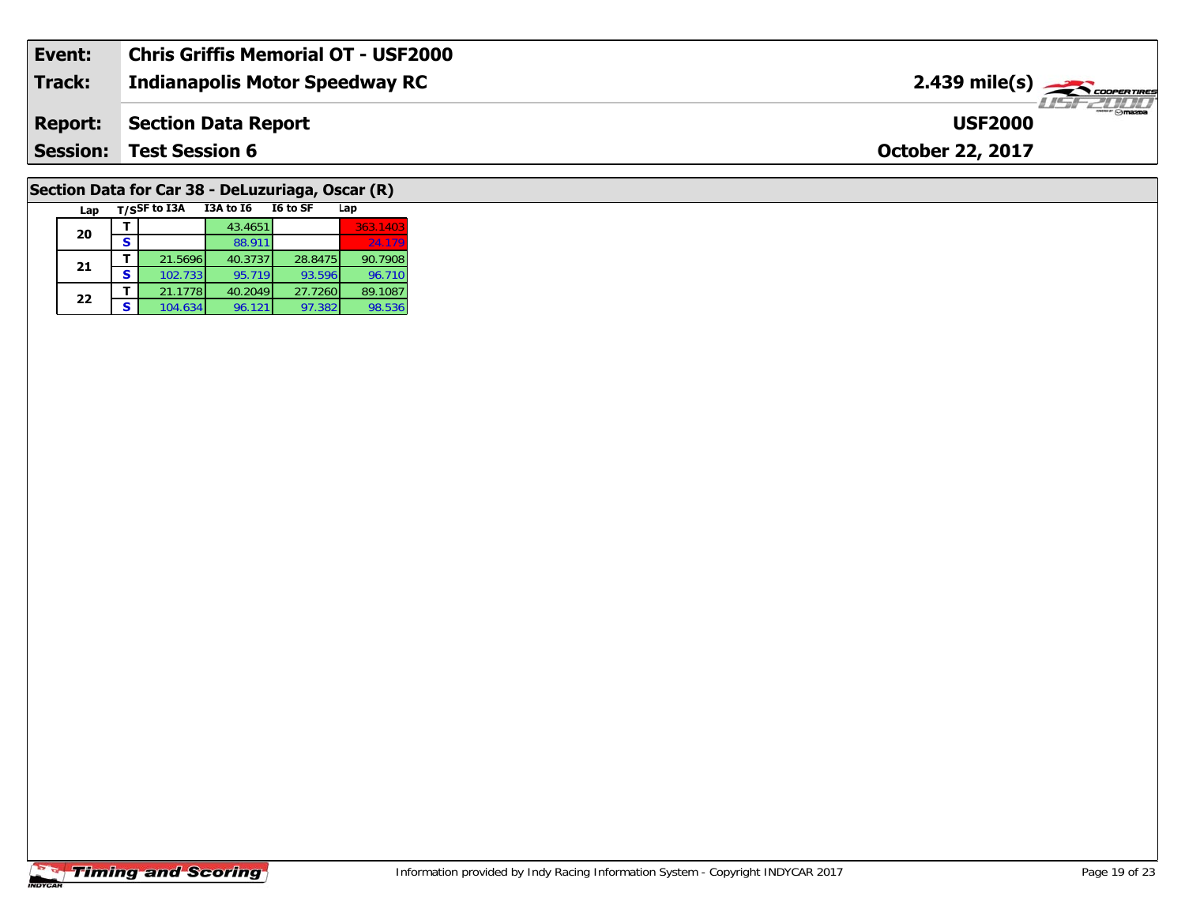| Event:         | Chris Griffis Memorial OT - USF2000   |                                                  |
|----------------|---------------------------------------|--------------------------------------------------|
| Track:         | <b>Indianapolis Motor Speedway RC</b> | $2.439$ mile(s) $\rightarrow$ $\sim$ coorerrings |
| <b>Report:</b> | Section Data Report                   | ™ omazna<br><b>USF2000</b>                       |
|                | <b>Session: Test Session 6</b>        | <b>October 22, 2017</b>                          |
|                |                                       |                                                  |

# **Section Data for Car 38 - DeLuzuriaga, Oscar (R)**

| Lap |   | T/SSF to I3A | <b>I3A to 16</b> | I6 to SF | Lap      |
|-----|---|--------------|------------------|----------|----------|
| 20  |   |              | 43.4651          |          | 363.1403 |
|     | S |              | 88.911           |          | 24.179   |
| 21  |   | 21.5696      | 40.3737          | 28.8475  | 90.7908  |
|     | s | 102.733      | 95.719           | 93.596   | 96.710   |
| 22  |   | 21.1778      | 40.2049          | 27.7260  | 89.1087  |
|     | S | 104.634      | 96.121           | 97.382   | 98.536   |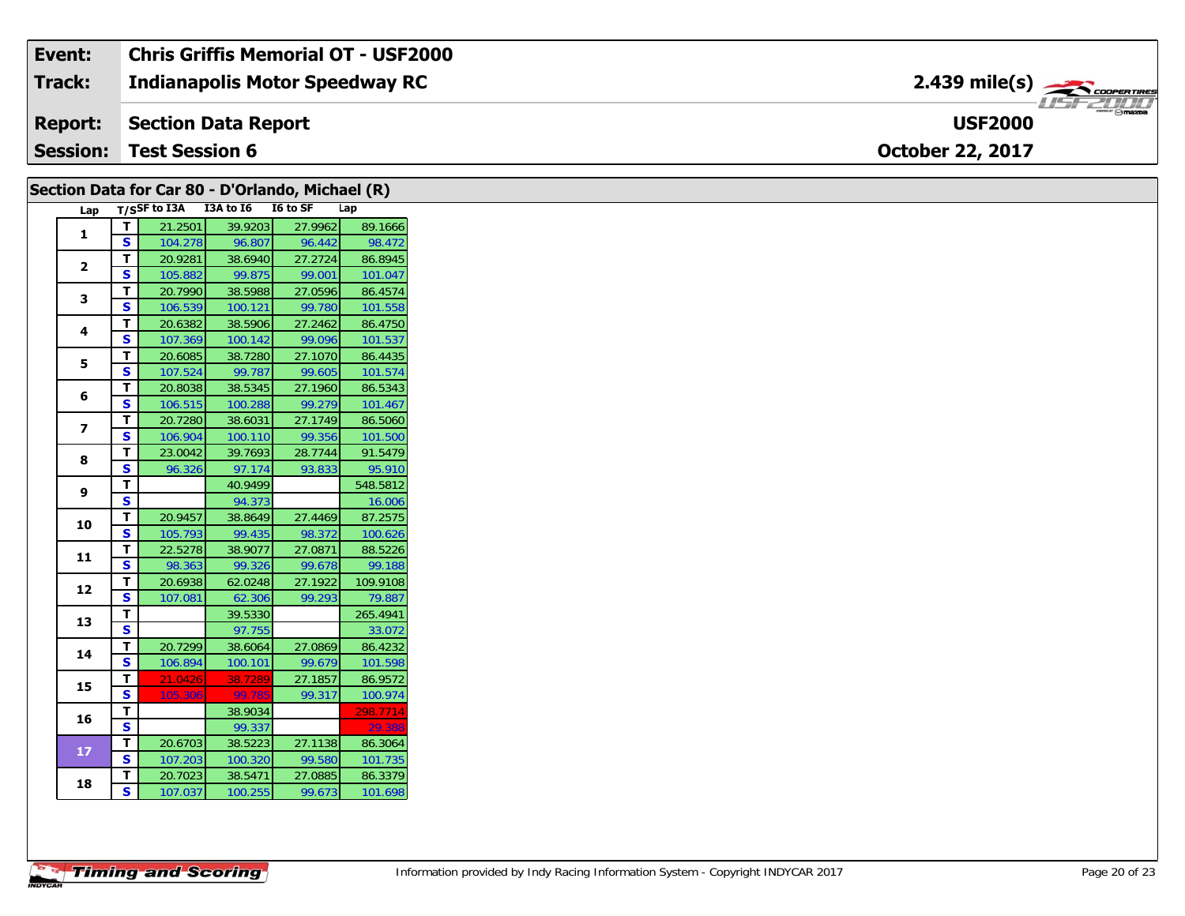| Event:          | <b>Chris Griffis Memorial OT - USF2000</b> |                               |
|-----------------|--------------------------------------------|-------------------------------|
| <b>Track:</b>   | Indianapolis Motor Speedway RC             | $2.439$ mile(s) $\rightarrow$ |
| <b>Report:</b>  | Section Data Report                        | $m = F$<br><b>USF2000</b>     |
| <b>Session:</b> | <b>Test Session 6</b>                      | <b>October 22, 2017</b>       |

|                         | Section Data for Car 80 - D'Orlando, Michael (R) |                                     |         |         |                    |
|-------------------------|--------------------------------------------------|-------------------------------------|---------|---------|--------------------|
|                         |                                                  | Lap T/SSF to I3A I3A to I6 I6 to SF |         |         | Lap                |
| $\mathbf{1}$            | T.                                               | 21.2501                             | 39.9203 | 27.9962 | 89.1666            |
|                         | $\mathbf{s}$                                     | 104.278                             | 96.807  | 96.442  | 98.472             |
| $\mathbf{2}$            | T                                                | 20.9281                             | 38.6940 | 27.2724 | 86.8945            |
|                         | S                                                | 105.882                             | 99.875  | 99.001  | 101.047            |
| 3                       | T.                                               | 20.7990                             | 38.5988 | 27.0596 | 86.4574            |
|                         | S.                                               | 106.539                             | 100.121 | 99.780  | 101.558            |
| 4                       | $\mathbf T$                                      | 20.6382                             | 38.5906 | 27.2462 | 86.4750            |
|                         | $\mathbf{s}$                                     | 107.369                             | 100.142 | 99.096  | 101.537            |
| 5                       | T.                                               | 20.6085                             | 38.7280 | 27.1070 | 86.4435            |
|                         | S.                                               | 107.524                             | 99.787  | 99.605  | 101.574            |
| 6                       | T                                                | 20.8038                             | 38.5345 | 27.1960 | 86.5343            |
|                         | S                                                | 106.515                             | 100.288 | 99.279  | 101.467            |
| $\overline{\mathbf{z}}$ | T.                                               | 20.7280                             | 38.6031 | 27.1749 | 86.5060            |
|                         | S                                                | 106.904                             | 100.110 | 99.356  | 101.500            |
| 8                       | $\mathbf T$                                      | 23.0042                             | 39.7693 | 28.7744 | 91.5479            |
|                         | S                                                | 96.326                              | 97.174  | 93.833  | 95.910             |
| 9                       | T.                                               |                                     | 40.9499 |         | 548.5812           |
|                         | $\overline{\mathbf{s}}$                          |                                     | 94.373  |         | 16.006             |
| 10                      | T.                                               | 20.9457                             | 38.8649 | 27.4469 | 87.2575            |
|                         | S.                                               | 105.793                             | 99.435  | 98.372  | 100.626            |
| 11                      | T                                                | 22.5278                             | 38.9077 | 27.0871 | 88.5226            |
|                         | S                                                | 98.363                              | 99.326  | 99.678  | 99.188             |
| 12                      | T                                                | 20.6938                             | 62.0248 | 27.1922 | 109.9108           |
|                         | S                                                | 107.081                             | 62.306  | 99.293  | 79.887             |
| 13                      | T                                                |                                     | 39.5330 |         | 265.4941           |
|                         | $\overline{\mathbf{s}}$                          |                                     | 97.755  |         | 33.072             |
| 14                      | T.                                               | 20.7299                             | 38.6064 | 27.0869 | 86.4232            |
|                         | <b>S</b>                                         | 106.894                             | 100.101 | 99.679  | 101.598            |
| 15                      | T                                                | 21.0426                             | 38.7289 | 27.1857 | 86.9572            |
|                         | $\mathbf{s}$                                     | 105.306                             | 99.78   | 99.317  | 100.974            |
| 16                      | T.                                               |                                     | 38.9034 |         | 298.7714           |
|                         | S                                                |                                     | 99.337  |         | 29.38              |
|                         | $\mathbf{T}$                                     | 20.6703                             | 38.5223 | 27.1138 | 86.3064            |
|                         |                                                  |                                     |         |         |                    |
| 17                      | S                                                | 107.203                             | 100.320 | 99.580  | 101.735            |
| 18                      | T.<br>$\mathbf{s}$                               | 20.7023                             | 38.5471 | 27.0885 | 86.3379<br>101.698 |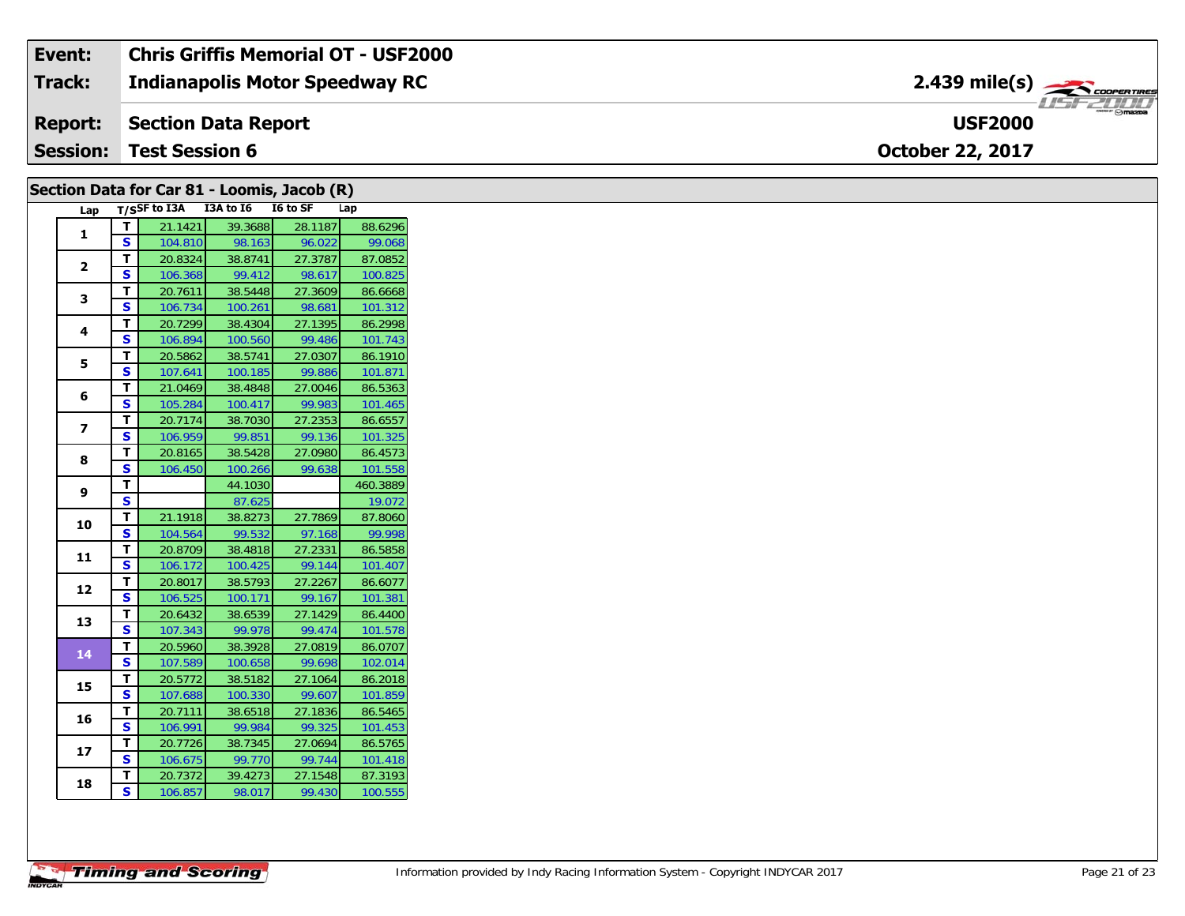#### Event: **Chris Griffis Memorial OT - USF2000** 2.439 mile(s) **Track: Indianapolis Motor Speedway RC USF2000 Report: Section Data Report Session: Test Session 6** October 22, 2017

| Section Data for Car 81 - Loomis, Jacob (R) |                         |                                 |                   |         |                    |  |  |
|---------------------------------------------|-------------------------|---------------------------------|-------------------|---------|--------------------|--|--|
| Lap                                         |                         | T/SSF to I3A I3A to I6 I6 to SF |                   |         | Lap                |  |  |
| $\mathbf{1}$                                | $\mathbf{T}$            | 21.1421                         | 39.3688           | 28.1187 | 88.6296            |  |  |
|                                             | $\overline{\mathbf{s}}$ | 104.810                         | 98.163            | 96.022  | 99.068             |  |  |
| $\overline{2}$                              | T                       | 20.8324                         | 38.8741           | 27.3787 | 87.0852            |  |  |
|                                             | <b>S</b>                | 106.368                         | 99.412            | 98.617  | 100.825            |  |  |
| 3                                           | $\mathbf T$             | 20.7611                         | 38.5448           | 27.3609 | 86.6668            |  |  |
|                                             | $\mathbf{s}$            | 106.734                         | 100.261           | 98.681  | 101.312            |  |  |
| 4                                           | T                       | 20.7299                         | 38.4304           | 27.1395 | 86.2998            |  |  |
|                                             | $\mathbf{s}$            | 106.894                         | 100.560           | 99.486  | 101.743            |  |  |
| 5                                           | T                       | 20.5862                         | 38.5741           | 27.0307 | 86.1910            |  |  |
|                                             | S                       | 107.641                         | 100.185           | 99.886  | 101.871            |  |  |
| 6                                           | $\mathbf{T}$            | 21.0469                         | 38.4848           | 27.0046 | 86.5363            |  |  |
|                                             | S                       | 105.284                         | 100.417           | 99.983  | 101.465            |  |  |
| $\overline{z}$                              | $\mathbf T$             | 20.7174                         | 38.7030           | 27.2353 | 86.6557            |  |  |
|                                             | <b>S</b>                | 106.959                         | 99.851            | 99.136  | 101.325            |  |  |
| 8                                           | $\mathbf T$             | 20.8165                         | 38.5428           | 27.0980 | 86.4573            |  |  |
|                                             | <b>S</b>                | 106.450                         | 100.266           | 99.638  | 101.558            |  |  |
| 9                                           | T<br>S                  |                                 | 44.1030           |         | 460.3889<br>19.072 |  |  |
|                                             | $\mathbf T$             | 21.1918                         | 87.625<br>38.8273 | 27.7869 | 87.8060            |  |  |
| 10                                          | $\mathbf{s}$            | 104.564                         | 99.532            | 97.168  | 99.998             |  |  |
|                                             | T                       | 20.8709                         | 38.4818           | 27.2331 | 86.5858            |  |  |
| 11                                          | $\mathbf{s}$            | 106.172                         | 100.425           | 99.144  | 101.407            |  |  |
|                                             | T                       | 20.8017                         | 38.5793           | 27.2267 | 86.6077            |  |  |
| 12                                          | $\mathbf{s}$            | 106.525                         | 100.171           | 99.167  | 101.381            |  |  |
|                                             | T                       | 20.6432                         | 38.6539           | 27.1429 | 86.4400            |  |  |
| 13                                          | $\mathbf{s}$            | 107.343                         | 99.978            | 99.474  | 101.578            |  |  |
|                                             | $\mathbf{T}$            | 20.5960                         | 38.3928           | 27.0819 | 86.0707            |  |  |
| 14                                          | S                       | 107.589                         | 100.658           | 99.698  | 102.014            |  |  |
|                                             | T                       | 20.5772                         | 38.5182           | 27.1064 | 86.2018            |  |  |
| 15                                          | $\overline{\mathbf{s}}$ | 107.688                         | 100.330           | 99.607  | 101.859            |  |  |
| 16                                          | $\mathbf{T}$            | 20.7111                         | 38.6518           | 27.1836 | 86.5465            |  |  |
|                                             | S                       | 106.991                         | 99.984            | 99.325  | 101.453            |  |  |
| 17                                          | T                       | 20.7726                         | 38.7345           | 27.0694 | 86.5765            |  |  |
|                                             | $\mathbf{s}$            | 106.675                         | 99.770            | 99.744  | 101.418            |  |  |
| 18                                          | $\mathbf{T}$            | 20.7372                         | 39.4273           | 27.1548 | 87.3193            |  |  |
|                                             | <b>S</b>                | 106.857                         | 98.017            | 99.430  | 100.555            |  |  |
|                                             |                         |                                 |                   |         |                    |  |  |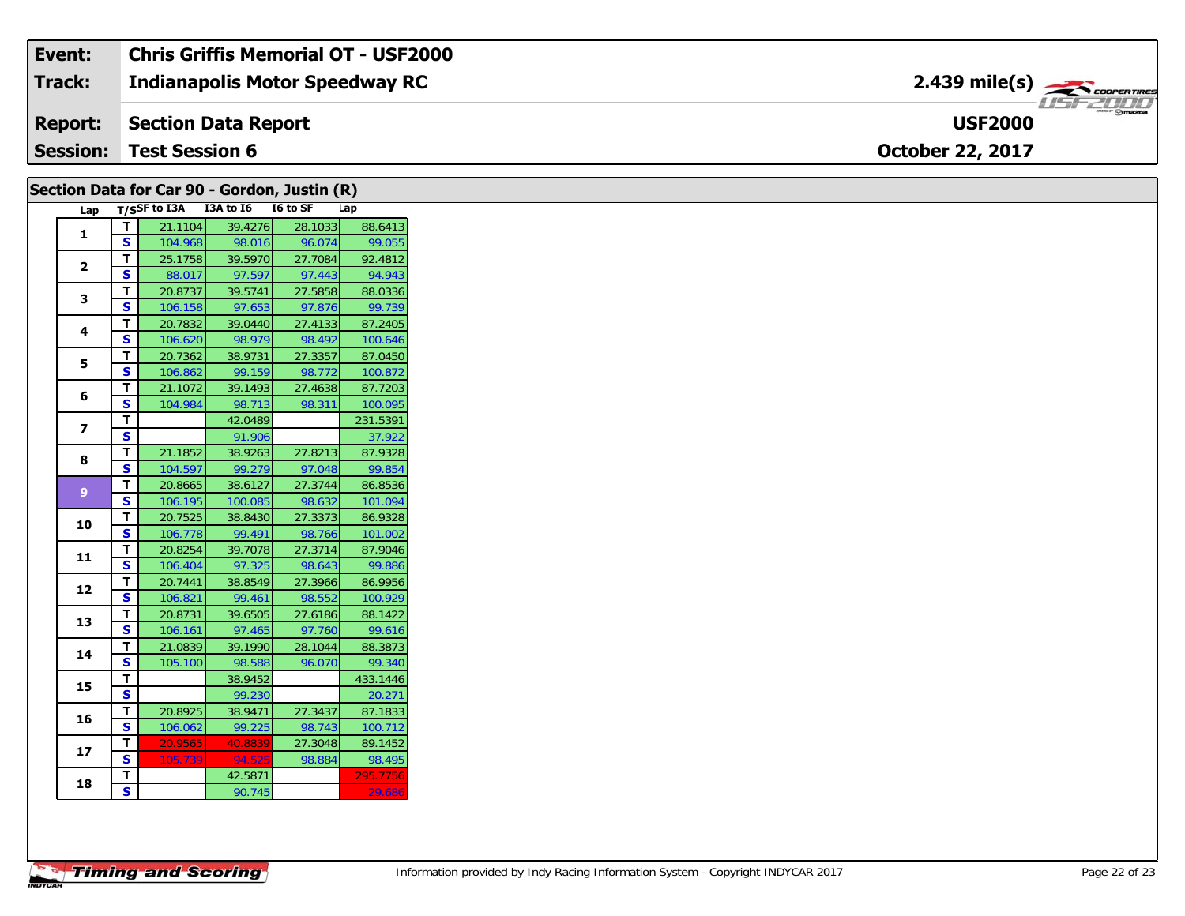#### **Indianapolis Motor Speedway RC Section Data Report October 22, 2017 Event: Chris Griffis Memorial OT - USF2000 Track: Report: Session: Test Session 6 USF2000**2.439 mile(s)

| Section Data for Car 90 - Gordon, Justin (R) |                         |                                     |                   |         |                     |  |  |
|----------------------------------------------|-------------------------|-------------------------------------|-------------------|---------|---------------------|--|--|
|                                              |                         | Lap T/SSF to I3A I3A to I6 I6 to SF |                   |         | Lap                 |  |  |
| $\mathbf{1}$                                 | $\overline{\mathbf{r}}$ | 21.1104                             | 39.4276           | 28.1033 | 88.6413             |  |  |
|                                              | <b>S</b>                | 104.968                             | 98.016            | 96.074  | 99.055              |  |  |
| $\overline{2}$                               | T                       | 25.1758                             | 39.5970           | 27.7084 | 92.4812             |  |  |
|                                              | $\mathbf{s}$            | 88.017                              | 97.597            | 97.443  | 94.943              |  |  |
| 3                                            | T                       | 20.8737                             | 39.5741           | 27.5858 | 88.0336             |  |  |
|                                              | S                       | 106.158                             | 97.653            | 97.876  | 99.739              |  |  |
| 4                                            | $\mathbf T$             | 20.7832                             | 39.0440           | 27.4133 | 87.2405             |  |  |
|                                              | S                       | 106.620                             | 98.979            | 98.492  | 100.646             |  |  |
| 5                                            | T                       | 20.7362                             | 38.9731           | 27.3357 | 87.0450             |  |  |
|                                              | S                       | 106.862                             | 99.159            | 98.772  | 100.872             |  |  |
| 6                                            | T.<br><b>S</b>          | 21.1072<br>104.984                  | 39.1493           | 27.4638 | 87.7203             |  |  |
|                                              | $\mathbf{T}$            |                                     | 98.713<br>42.0489 | 98.311  | 100.095<br>231.5391 |  |  |
| $\overline{ }$                               | S                       |                                     | 91.906            |         | 37.922              |  |  |
|                                              | T                       | 21.1852                             | 38.9263           | 27.8213 | 87.9328             |  |  |
| 8                                            | $\mathbf{s}$            | 104.597                             | 99.279            | 97.048  | 99.854              |  |  |
|                                              | $\mathbf{T}$            | 20.8665                             | 38.6127           | 27.3744 | 86.8536             |  |  |
| 9 <sup>°</sup>                               | <b>S</b>                | 106.195                             | 100.085           | 98.632  | 101.094             |  |  |
|                                              | $\mathbf T$             | 20.7525                             | 38.8430           | 27.3373 | 86.9328             |  |  |
| 10                                           | $\mathbf{s}$            | 106.778                             | 99.491            | 98.766  | 101.002             |  |  |
|                                              | T                       | 20.8254                             | 39.7078           | 27.3714 | 87.9046             |  |  |
| 11                                           | $\mathbf{s}$            | 106.404                             | 97.325            | 98.643  | 99.886              |  |  |
|                                              | T                       | 20.7441                             | 38.8549           | 27.3966 | 86.9956             |  |  |
| 12                                           | <b>S</b>                | 106.821                             | 99.461            | 98.552  | 100.929             |  |  |
| 13                                           | T                       | 20.8731                             | 39.6505           | 27.6186 | 88.1422             |  |  |
|                                              | $\mathbf{s}$            | 106.161                             | 97.465            | 97.760  | 99.616              |  |  |
| 14                                           | T                       | 21.0839                             | 39.1990           | 28.1044 | 88.3873             |  |  |
|                                              | <b>S</b>                | 105.100                             | 98.588            | 96.070  | 99.340              |  |  |
| 15                                           | $\overline{t}$          |                                     | 38.9452           |         | 433.1446            |  |  |
|                                              | $\overline{\mathbf{s}}$ |                                     | 99.230            |         | 20.271              |  |  |
| 16                                           | T                       | 20.8925                             | 38.9471           | 27.3437 | 87.1833             |  |  |
|                                              | $\mathbf{s}$            | 106.062                             | 99.225            | 98.743  | 100.712             |  |  |
| 17                                           | T.                      | 20.9565                             | 40.8839           | 27.3048 | 89.1452             |  |  |
|                                              | <b>S</b>                | 105.739                             | 94.525            | 98.884  | 98.495              |  |  |
|                                              | T                       |                                     | 42.5871           |         | 295.7756            |  |  |
| 18                                           | $\overline{\mathbf{s}}$ |                                     | 90.745            |         | 29.686              |  |  |